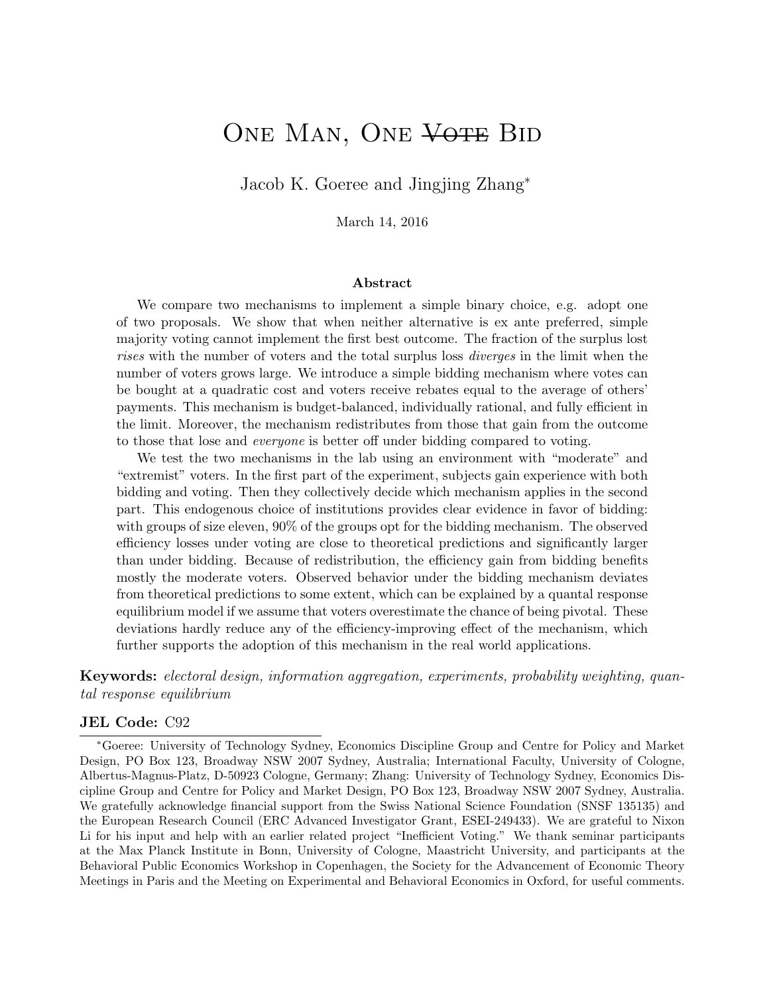# ONE MAN, ONE VOTE BID

Jacob K. Goeree and Jingjing Zhang<sup>∗</sup>

March 14, 2016

#### Abstract

We compare two mechanisms to implement a simple binary choice, e.g. adopt one of two proposals. We show that when neither alternative is ex ante preferred, simple majority voting cannot implement the first best outcome. The fraction of the surplus lost rises with the number of voters and the total surplus loss *diverges* in the limit when the number of voters grows large. We introduce a simple bidding mechanism where votes can be bought at a quadratic cost and voters receive rebates equal to the average of others' payments. This mechanism is budget-balanced, individually rational, and fully efficient in the limit. Moreover, the mechanism redistributes from those that gain from the outcome to those that lose and everyone is better off under bidding compared to voting.

We test the two mechanisms in the lab using an environment with "moderate" and "extremist" voters. In the first part of the experiment, subjects gain experience with both bidding and voting. Then they collectively decide which mechanism applies in the second part. This endogenous choice of institutions provides clear evidence in favor of bidding: with groups of size eleven, 90% of the groups opt for the bidding mechanism. The observed efficiency losses under voting are close to theoretical predictions and significantly larger than under bidding. Because of redistribution, the efficiency gain from bidding benefits mostly the moderate voters. Observed behavior under the bidding mechanism deviates from theoretical predictions to some extent, which can be explained by a quantal response equilibrium model if we assume that voters overestimate the chance of being pivotal. These deviations hardly reduce any of the efficiency-improving effect of the mechanism, which further supports the adoption of this mechanism in the real world applications.

Keywords: electoral design, information aggregation, experiments, probability weighting, quantal response equilibrium

#### JEL Code: C92

<sup>∗</sup>Goeree: University of Technology Sydney, Economics Discipline Group and Centre for Policy and Market Design, PO Box 123, Broadway NSW 2007 Sydney, Australia; International Faculty, University of Cologne, Albertus-Magnus-Platz, D-50923 Cologne, Germany; Zhang: University of Technology Sydney, Economics Discipline Group and Centre for Policy and Market Design, PO Box 123, Broadway NSW 2007 Sydney, Australia. We gratefully acknowledge financial support from the Swiss National Science Foundation (SNSF 135135) and the European Research Council (ERC Advanced Investigator Grant, ESEI-249433). We are grateful to Nixon Li for his input and help with an earlier related project "Inefficient Voting." We thank seminar participants at the Max Planck Institute in Bonn, University of Cologne, Maastricht University, and participants at the Behavioral Public Economics Workshop in Copenhagen, the Society for the Advancement of Economic Theory Meetings in Paris and the Meeting on Experimental and Behavioral Economics in Oxford, for useful comments.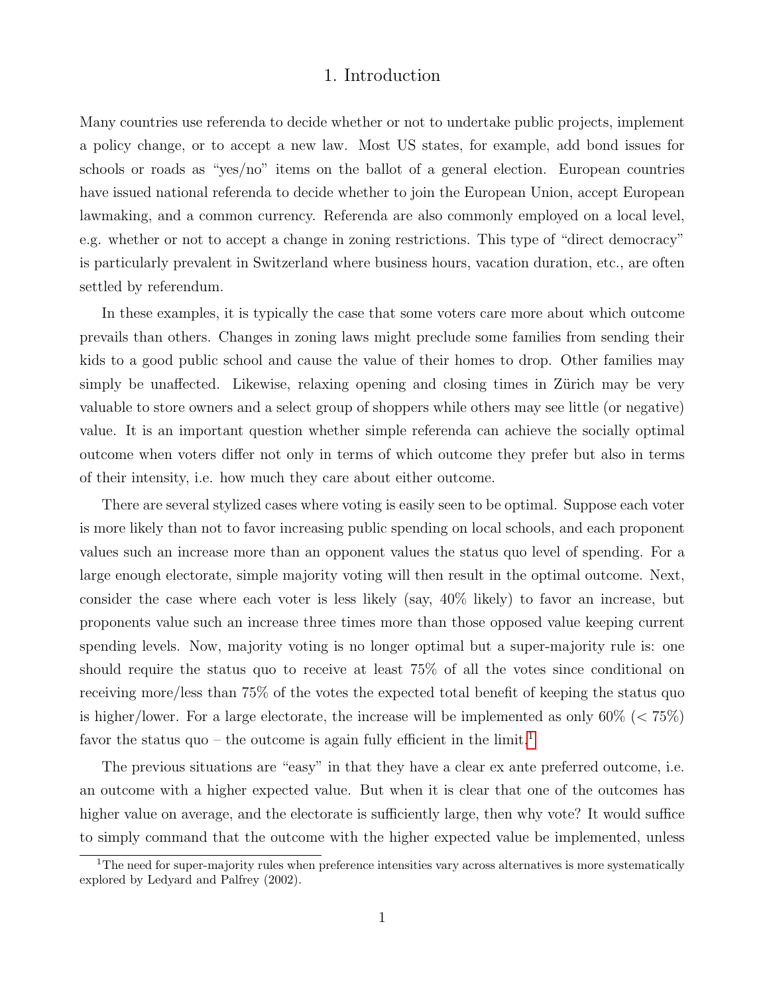## 1. Introduction

Many countries use referenda to decide whether or not to undertake public projects, implement a policy change, or to accept a new law. Most US states, for example, add bond issues for schools or roads as "yes/no" items on the ballot of a general election. European countries have issued national referenda to decide whether to join the European Union, accept European lawmaking, and a common currency. Referenda are also commonly employed on a local level, e.g. whether or not to accept a change in zoning restrictions. This type of "direct democracy" is particularly prevalent in Switzerland where business hours, vacation duration, etc., are often settled by referendum.

In these examples, it is typically the case that some voters care more about which outcome prevails than others. Changes in zoning laws might preclude some families from sending their kids to a good public school and cause the value of their homes to drop. Other families may simply be unaffected. Likewise, relaxing opening and closing times in Zürich may be very valuable to store owners and a select group of shoppers while others may see little (or negative) value. It is an important question whether simple referenda can achieve the socially optimal outcome when voters differ not only in terms of which outcome they prefer but also in terms of their intensity, i.e. how much they care about either outcome.

There are several stylized cases where voting is easily seen to be optimal. Suppose each voter is more likely than not to favor increasing public spending on local schools, and each proponent values such an increase more than an opponent values the status quo level of spending. For a large enough electorate, simple majority voting will then result in the optimal outcome. Next, consider the case where each voter is less likely (say, 40% likely) to favor an increase, but proponents value such an increase three times more than those opposed value keeping current spending levels. Now, majority voting is no longer optimal but a super-majority rule is: one should require the status quo to receive at least 75% of all the votes since conditional on receiving more/less than 75% of the votes the expected total benefit of keeping the status quo is higher/lower. For a large electorate, the increase will be implemented as only  $60\%$  ( $< 75\%$ ) favor the status quo – the outcome is again fully efficient in the limit.<sup>[1](#page-1-0)</sup>

The previous situations are "easy" in that they have a clear ex ante preferred outcome, i.e. an outcome with a higher expected value. But when it is clear that one of the outcomes has higher value on average, and the electorate is sufficiently large, then why vote? It would suffice to simply command that the outcome with the higher expected value be implemented, unless

<span id="page-1-0"></span><sup>&</sup>lt;sup>1</sup>The need for super-majority rules when preference intensities vary across alternatives is more systematically explored by Ledyard and Palfrey (2002).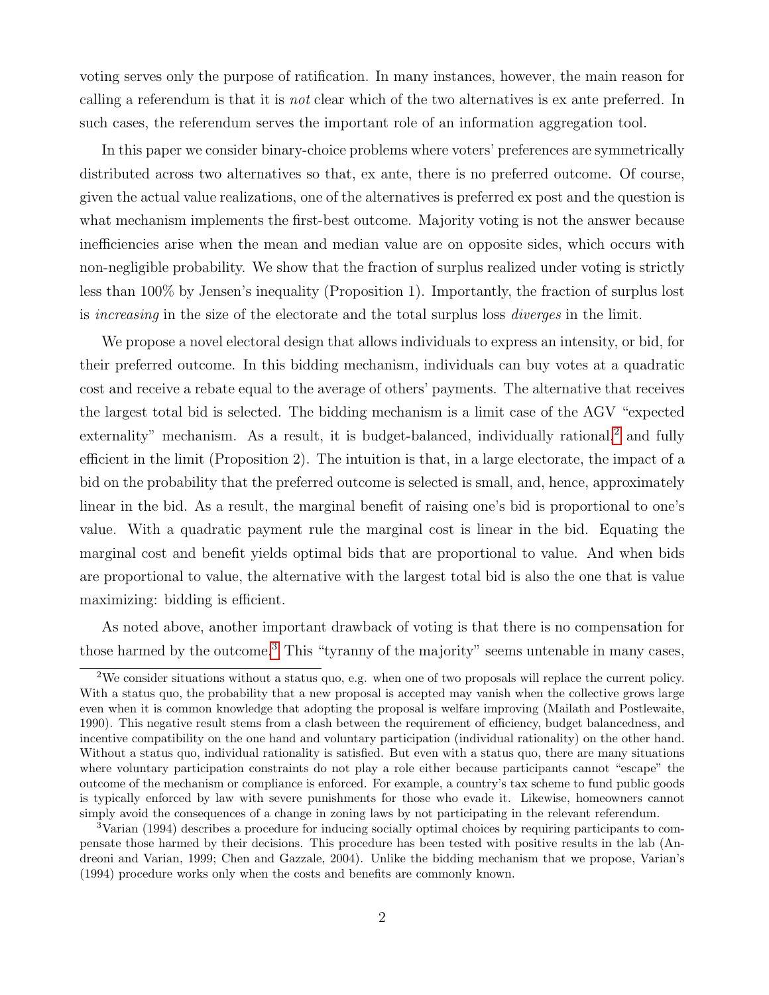voting serves only the purpose of ratification. In many instances, however, the main reason for calling a referendum is that it is not clear which of the two alternatives is ex ante preferred. In such cases, the referendum serves the important role of an information aggregation tool.

In this paper we consider binary-choice problems where voters' preferences are symmetrically distributed across two alternatives so that, ex ante, there is no preferred outcome. Of course, given the actual value realizations, one of the alternatives is preferred ex post and the question is what mechanism implements the first-best outcome. Majority voting is not the answer because inefficiencies arise when the mean and median value are on opposite sides, which occurs with non-negligible probability. We show that the fraction of surplus realized under voting is strictly less than 100% by Jensen's inequality (Proposition 1). Importantly, the fraction of surplus lost is increasing in the size of the electorate and the total surplus loss diverges in the limit.

We propose a novel electoral design that allows individuals to express an intensity, or bid, for their preferred outcome. In this bidding mechanism, individuals can buy votes at a quadratic cost and receive a rebate equal to the average of others' payments. The alternative that receives the largest total bid is selected. The bidding mechanism is a limit case of the AGV "expected externality" mechanism. As a result, it is budget-balanced, individually rational,<sup>[2](#page-2-0)</sup> and fully efficient in the limit (Proposition 2). The intuition is that, in a large electorate, the impact of a bid on the probability that the preferred outcome is selected is small, and, hence, approximately linear in the bid. As a result, the marginal benefit of raising one's bid is proportional to one's value. With a quadratic payment rule the marginal cost is linear in the bid. Equating the marginal cost and benefit yields optimal bids that are proportional to value. And when bids are proportional to value, the alternative with the largest total bid is also the one that is value maximizing: bidding is efficient.

As noted above, another important drawback of voting is that there is no compensation for those harmed by the outcome.[3](#page-2-1) This "tyranny of the majority" seems untenable in many cases,

<span id="page-2-0"></span><sup>2</sup>We consider situations without a status quo, e.g. when one of two proposals will replace the current policy. With a status quo, the probability that a new proposal is accepted may vanish when the collective grows large even when it is common knowledge that adopting the proposal is welfare improving (Mailath and Postlewaite, 1990). This negative result stems from a clash between the requirement of efficiency, budget balancedness, and incentive compatibility on the one hand and voluntary participation (individual rationality) on the other hand. Without a status quo, individual rationality is satisfied. But even with a status quo, there are many situations where voluntary participation constraints do not play a role either because participants cannot "escape" the outcome of the mechanism or compliance is enforced. For example, a country's tax scheme to fund public goods is typically enforced by law with severe punishments for those who evade it. Likewise, homeowners cannot simply avoid the consequences of a change in zoning laws by not participating in the relevant referendum.

<span id="page-2-1"></span><sup>3</sup>Varian (1994) describes a procedure for inducing socially optimal choices by requiring participants to compensate those harmed by their decisions. This procedure has been tested with positive results in the lab (Andreoni and Varian, 1999; Chen and Gazzale, 2004). Unlike the bidding mechanism that we propose, Varian's (1994) procedure works only when the costs and benefits are commonly known.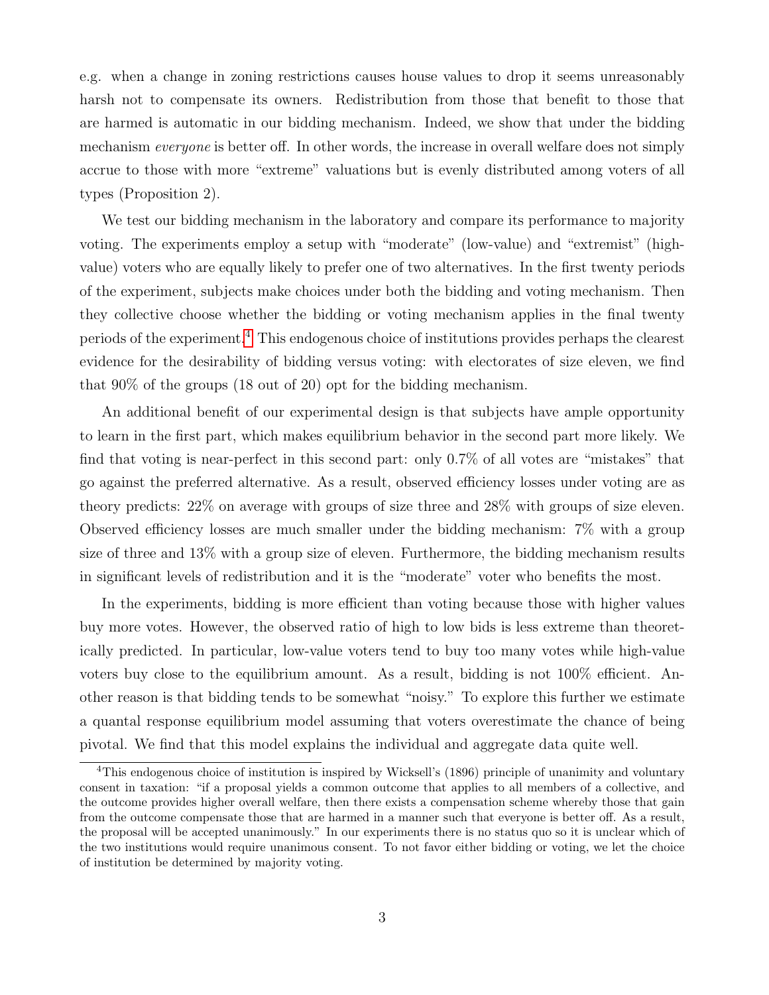e.g. when a change in zoning restrictions causes house values to drop it seems unreasonably harsh not to compensate its owners. Redistribution from those that benefit to those that are harmed is automatic in our bidding mechanism. Indeed, we show that under the bidding mechanism *everyone* is better off. In other words, the increase in overall welfare does not simply accrue to those with more "extreme" valuations but is evenly distributed among voters of all types (Proposition 2).

We test our bidding mechanism in the laboratory and compare its performance to majority voting. The experiments employ a setup with "moderate" (low-value) and "extremist" (highvalue) voters who are equally likely to prefer one of two alternatives. In the first twenty periods of the experiment, subjects make choices under both the bidding and voting mechanism. Then they collective choose whether the bidding or voting mechanism applies in the final twenty periods of the experiment.[4](#page-3-0) This endogenous choice of institutions provides perhaps the clearest evidence for the desirability of bidding versus voting: with electorates of size eleven, we find that 90% of the groups (18 out of 20) opt for the bidding mechanism.

An additional benefit of our experimental design is that subjects have ample opportunity to learn in the first part, which makes equilibrium behavior in the second part more likely. We find that voting is near-perfect in this second part: only 0.7% of all votes are "mistakes" that go against the preferred alternative. As a result, observed efficiency losses under voting are as theory predicts: 22% on average with groups of size three and 28% with groups of size eleven. Observed efficiency losses are much smaller under the bidding mechanism: 7% with a group size of three and 13% with a group size of eleven. Furthermore, the bidding mechanism results in significant levels of redistribution and it is the "moderate" voter who benefits the most.

In the experiments, bidding is more efficient than voting because those with higher values buy more votes. However, the observed ratio of high to low bids is less extreme than theoretically predicted. In particular, low-value voters tend to buy too many votes while high-value voters buy close to the equilibrium amount. As a result, bidding is not 100% efficient. Another reason is that bidding tends to be somewhat "noisy." To explore this further we estimate a quantal response equilibrium model assuming that voters overestimate the chance of being pivotal. We find that this model explains the individual and aggregate data quite well.

<span id="page-3-0"></span><sup>4</sup>This endogenous choice of institution is inspired by Wicksell's (1896) principle of unanimity and voluntary consent in taxation: "if a proposal yields a common outcome that applies to all members of a collective, and the outcome provides higher overall welfare, then there exists a compensation scheme whereby those that gain from the outcome compensate those that are harmed in a manner such that everyone is better off. As a result, the proposal will be accepted unanimously." In our experiments there is no status quo so it is unclear which of the two institutions would require unanimous consent. To not favor either bidding or voting, we let the choice of institution be determined by majority voting.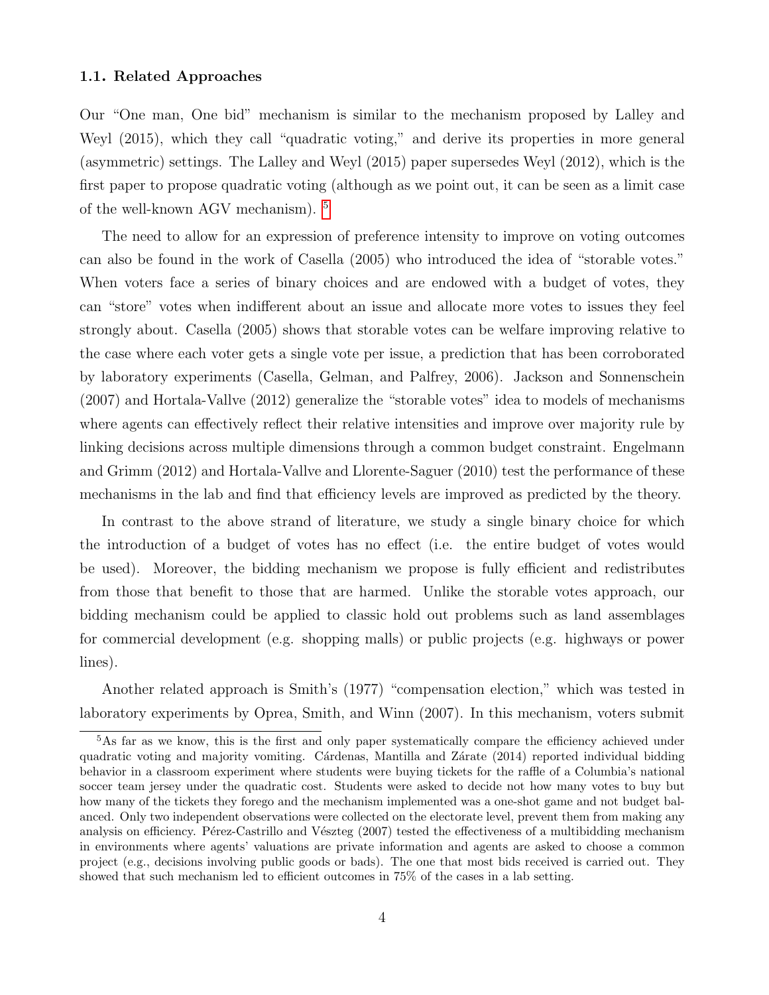#### 1.1. Related Approaches

Our "One man, One bid" mechanism is similar to the mechanism proposed by Lalley and Weyl (2015), which they call "quadratic voting," and derive its properties in more general (asymmetric) settings. The Lalley and Weyl (2015) paper supersedes Weyl (2012), which is the first paper to propose quadratic voting (although as we point out, it can be seen as a limit case of the well-known AGV mechanism). <sup>[5](#page-4-0)</sup>

The need to allow for an expression of preference intensity to improve on voting outcomes can also be found in the work of Casella (2005) who introduced the idea of "storable votes." When voters face a series of binary choices and are endowed with a budget of votes, they can "store" votes when indifferent about an issue and allocate more votes to issues they feel strongly about. Casella (2005) shows that storable votes can be welfare improving relative to the case where each voter gets a single vote per issue, a prediction that has been corroborated by laboratory experiments (Casella, Gelman, and Palfrey, 2006). Jackson and Sonnenschein (2007) and Hortala-Vallve (2012) generalize the "storable votes" idea to models of mechanisms where agents can effectively reflect their relative intensities and improve over majority rule by linking decisions across multiple dimensions through a common budget constraint. Engelmann and Grimm (2012) and Hortala-Vallve and Llorente-Saguer (2010) test the performance of these mechanisms in the lab and find that efficiency levels are improved as predicted by the theory.

In contrast to the above strand of literature, we study a single binary choice for which the introduction of a budget of votes has no effect (i.e. the entire budget of votes would be used). Moreover, the bidding mechanism we propose is fully efficient and redistributes from those that benefit to those that are harmed. Unlike the storable votes approach, our bidding mechanism could be applied to classic hold out problems such as land assemblages for commercial development (e.g. shopping malls) or public projects (e.g. highways or power lines).

Another related approach is Smith's (1977) "compensation election," which was tested in laboratory experiments by Oprea, Smith, and Winn (2007). In this mechanism, voters submit

<span id="page-4-0"></span><sup>&</sup>lt;sup>5</sup>As far as we know, this is the first and only paper systematically compare the efficiency achieved under quadratic voting and majority vomiting. Cárdenas, Mantilla and Zárate (2014) reported individual bidding behavior in a classroom experiment where students were buying tickets for the raffle of a Columbia's national soccer team jersey under the quadratic cost. Students were asked to decide not how many votes to buy but how many of the tickets they forego and the mechanism implemented was a one-shot game and not budget balanced. Only two independent observations were collected on the electorate level, prevent them from making any analysis on efficiency. Pérez-Castrillo and Vészteg (2007) tested the effectiveness of a multibidding mechanism in environments where agents' valuations are private information and agents are asked to choose a common project (e.g., decisions involving public goods or bads). The one that most bids received is carried out. They showed that such mechanism led to efficient outcomes in 75% of the cases in a lab setting.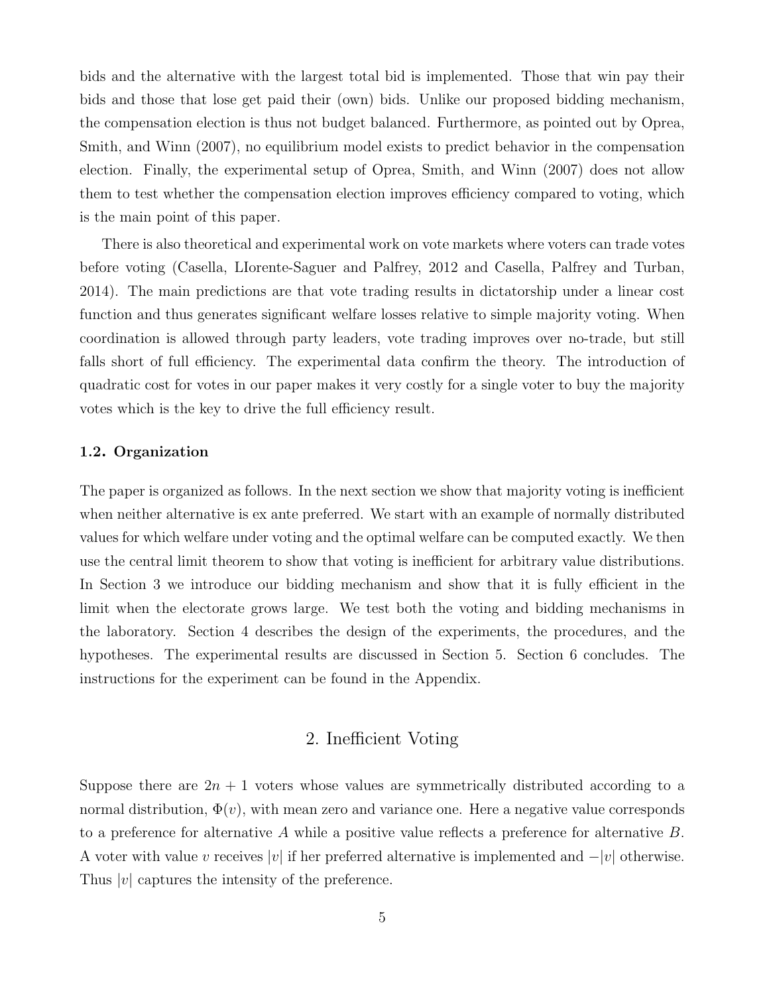bids and the alternative with the largest total bid is implemented. Those that win pay their bids and those that lose get paid their (own) bids. Unlike our proposed bidding mechanism, the compensation election is thus not budget balanced. Furthermore, as pointed out by Oprea, Smith, and Winn (2007), no equilibrium model exists to predict behavior in the compensation election. Finally, the experimental setup of Oprea, Smith, and Winn (2007) does not allow them to test whether the compensation election improves efficiency compared to voting, which is the main point of this paper.

There is also theoretical and experimental work on vote markets where voters can trade votes before voting (Casella, LIorente-Saguer and Palfrey, 2012 and Casella, Palfrey and Turban, 2014). The main predictions are that vote trading results in dictatorship under a linear cost function and thus generates significant welfare losses relative to simple majority voting. When coordination is allowed through party leaders, vote trading improves over no-trade, but still falls short of full efficiency. The experimental data confirm the theory. The introduction of quadratic cost for votes in our paper makes it very costly for a single voter to buy the majority votes which is the key to drive the full efficiency result.

#### 1.2. Organization

The paper is organized as follows. In the next section we show that majority voting is inefficient when neither alternative is ex ante preferred. We start with an example of normally distributed values for which welfare under voting and the optimal welfare can be computed exactly. We then use the central limit theorem to show that voting is inefficient for arbitrary value distributions. In Section 3 we introduce our bidding mechanism and show that it is fully efficient in the limit when the electorate grows large. We test both the voting and bidding mechanisms in the laboratory. Section 4 describes the design of the experiments, the procedures, and the hypotheses. The experimental results are discussed in Section 5. Section 6 concludes. The instructions for the experiment can be found in the Appendix.

## 2. Inefficient Voting

Suppose there are  $2n + 1$  voters whose values are symmetrically distributed according to a normal distribution,  $\Phi(v)$ , with mean zero and variance one. Here a negative value corresponds to a preference for alternative A while a positive value reflects a preference for alternative  $B$ . A voter with value v receives |v| if her preferred alternative is implemented and  $-|v|$  otherwise. Thus  $|v|$  captures the intensity of the preference.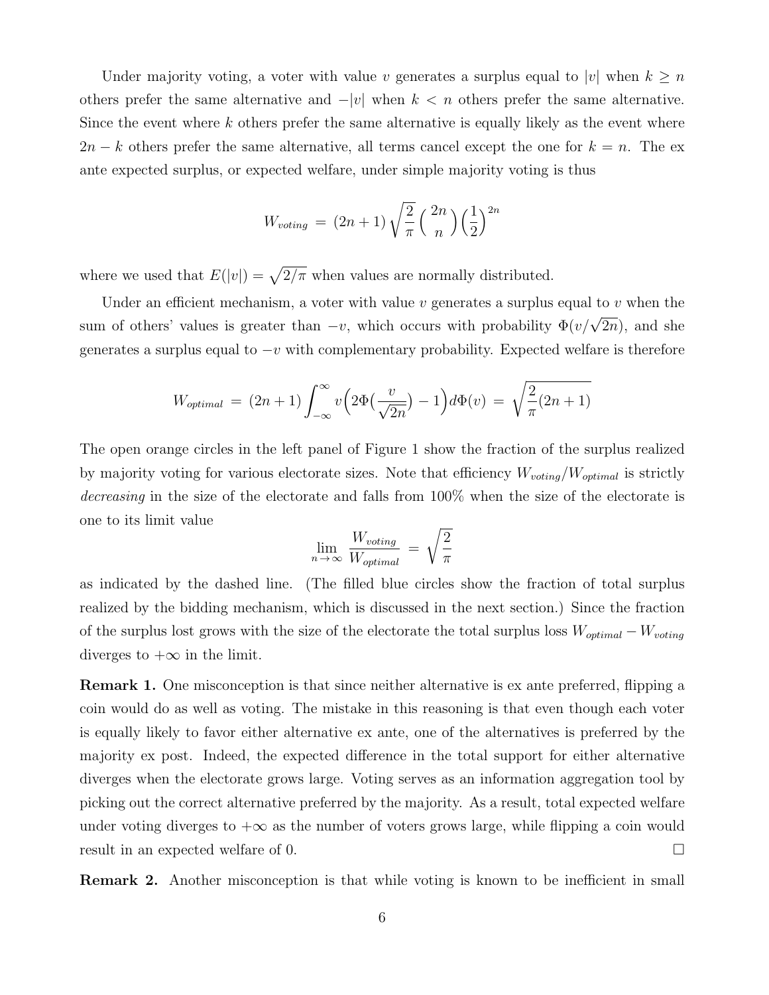Under majority voting, a voter with value v generates a surplus equal to  $|v|$  when  $k \geq n$ others prefer the same alternative and  $-|v|$  when  $k < n$  others prefer the same alternative. Since the event where  $k$  others prefer the same alternative is equally likely as the event where  $2n - k$  others prefer the same alternative, all terms cancel except the one for  $k = n$ . The exante expected surplus, or expected welfare, under simple majority voting is thus

$$
W_{voting} = (2n+1)\sqrt{\frac{2}{\pi}} \left(\frac{2n}{n}\right) \left(\frac{1}{2}\right)^{2n}
$$

where we used that  $E(|v|) = \sqrt{2/\pi}$  when values are normally distributed.

Under an efficient mechanism, a voter with value  $v$  generates a surplus equal to  $v$  when the sum of others' values is greater than  $-v$ , which occurs with probability  $\Phi(v/\sqrt{2n})$ , and she generates a surplus equal to  $-v$  with complementary probability. Expected welfare is therefore

$$
W_{optimal} = (2n+1) \int_{-\infty}^{\infty} v \left( 2\Phi\left(\frac{v}{\sqrt{2n}}\right) - 1 \right) d\Phi(v) = \sqrt{\frac{2}{\pi} (2n+1)}
$$

The open orange circles in the left panel of Figure 1 show the fraction of the surplus realized by majority voting for various electorate sizes. Note that efficiency  $W_{voting}/W_{optimal}$  is strictly decreasing in the size of the electorate and falls from 100% when the size of the electorate is one to its limit value

$$
\lim_{n \to \infty} \frac{W_{voting}}{W_{optimal}} = \sqrt{\frac{2}{\pi}}
$$

as indicated by the dashed line. (The filled blue circles show the fraction of total surplus realized by the bidding mechanism, which is discussed in the next section.) Since the fraction of the surplus lost grows with the size of the electorate the total surplus loss  $W_{optimal} - W_{voting}$ diverges to  $+\infty$  in the limit.

Remark 1. One misconception is that since neither alternative is ex ante preferred, flipping a coin would do as well as voting. The mistake in this reasoning is that even though each voter is equally likely to favor either alternative ex ante, one of the alternatives is preferred by the majority ex post. Indeed, the expected difference in the total support for either alternative diverges when the electorate grows large. Voting serves as an information aggregation tool by picking out the correct alternative preferred by the majority. As a result, total expected welfare under voting diverges to  $+\infty$  as the number of voters grows large, while flipping a coin would result in an expected welfare of 0.

Remark 2. Another misconception is that while voting is known to be inefficient in small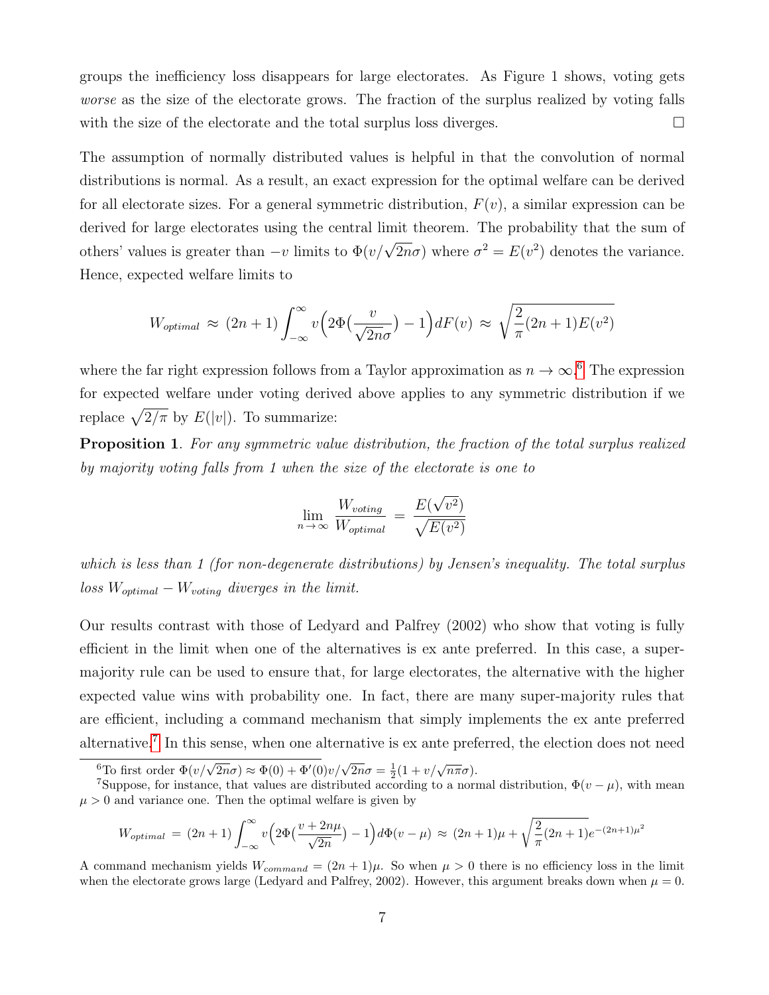groups the inefficiency loss disappears for large electorates. As Figure 1 shows, voting gets worse as the size of the electorate grows. The fraction of the surplus realized by voting falls with the size of the electorate and the total surplus loss diverges.  $\Box$ 

The assumption of normally distributed values is helpful in that the convolution of normal distributions is normal. As a result, an exact expression for the optimal welfare can be derived for all electorate sizes. For a general symmetric distribution,  $F(v)$ , a similar expression can be derived for large electorates using the central limit theorem. The probability that the sum of others' values is greater than  $-v$  limits to  $\Phi(v/\sqrt{2n}\sigma)$  where  $\sigma^2 = E(v^2)$  denotes the variance. Hence, expected welfare limits to

$$
W_{optimal} \approx (2n+1) \int_{-\infty}^{\infty} v \left( 2\Phi\left(\frac{v}{\sqrt{2n}\sigma}\right) - 1 \right) dF(v) \approx \sqrt{\frac{2}{\pi} (2n+1) E(v^2)}
$$

where the far right expression follows from a Taylor approximation as  $n \to \infty$ .<sup>[6](#page-7-0)</sup> The expression for expected welfare under voting derived above applies to any symmetric distribution if we replace  $\sqrt{2/\pi}$  by  $E(|v|)$ . To summarize:

Proposition 1. For any symmetric value distribution, the fraction of the total surplus realized by majority voting falls from 1 when the size of the electorate is one to

$$
\lim_{n \to \infty} \frac{W_{voting}}{W_{optimal}} = \frac{E(\sqrt{v^2})}{\sqrt{E(v^2)}}
$$

which is less than 1 (for non-degenerate distributions) by Jensen's inequality. The total surplus  $loss W_{optimal} - W_{voting}$  diverges in the limit.

Our results contrast with those of Ledyard and Palfrey (2002) who show that voting is fully efficient in the limit when one of the alternatives is ex ante preferred. In this case, a supermajority rule can be used to ensure that, for large electorates, the alternative with the higher expected value wins with probability one. In fact, there are many super-majority rules that are efficient, including a command mechanism that simply implements the ex ante preferred alternative.<sup>[7](#page-7-1)</sup> In this sense, when one alternative is ex ante preferred, the election does not need

$$
W_{optimal} = (2n+1) \int_{-\infty}^{\infty} v \left( 2\Phi\left(\frac{v+2n\mu}{\sqrt{2n}}\right) - 1 \right) d\Phi(v-\mu) \approx (2n+1)\mu + \sqrt{\frac{2}{\pi}(2n+1)}e^{-(2n+1)\mu^2}
$$

A command mechanism yields  $W_{command} = (2n + 1)\mu$ . So when  $\mu > 0$  there is no efficiency loss in the limit when the electorate grows large (Ledyard and Palfrey, 2002). However, this argument breaks down when  $\mu = 0$ .

<span id="page-7-1"></span><span id="page-7-0"></span><sup>&</sup>lt;sup>6</sup>To first order  $\Phi(v/\sqrt{2n}\sigma) \approx \Phi(0) + \Phi'(0)v/\sqrt{2n}\sigma = \frac{1}{2}(1+v/\sqrt{n\pi}\sigma)$ .

<sup>&</sup>lt;sup>7</sup>Suppose, for instance, that values are distributed according to a normal distribution,  $\Phi(v-\mu)$ , with mean  $\mu > 0$  and variance one. Then the optimal welfare is given by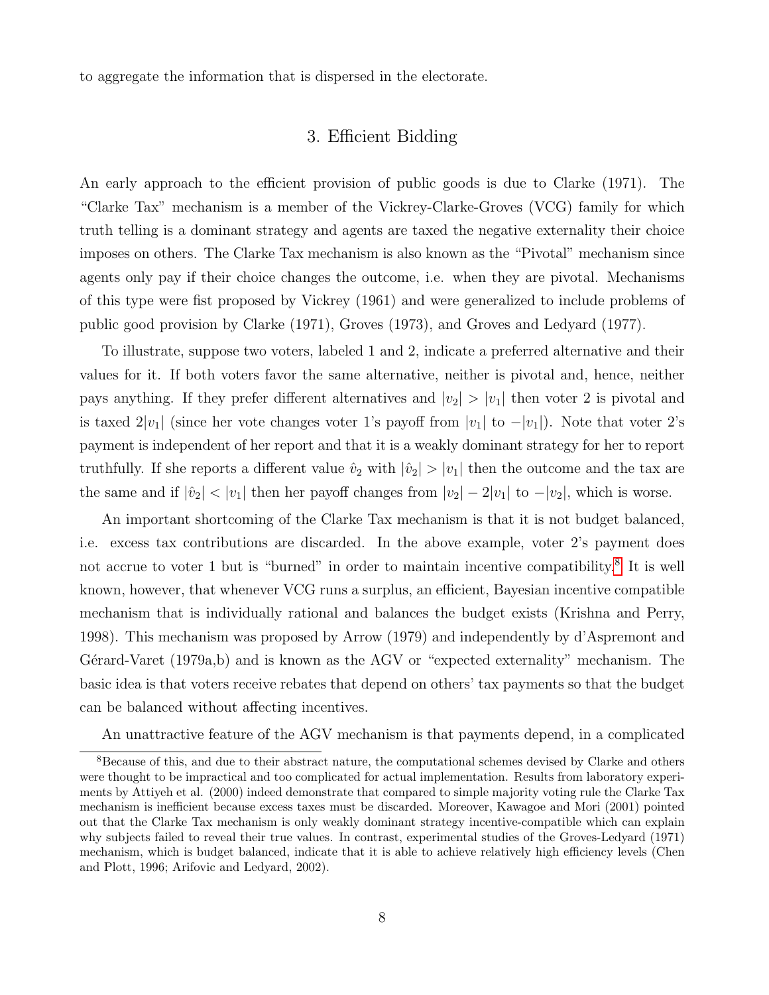to aggregate the information that is dispersed in the electorate.

## 3. Efficient Bidding

An early approach to the efficient provision of public goods is due to Clarke (1971). The "Clarke Tax" mechanism is a member of the Vickrey-Clarke-Groves (VCG) family for which truth telling is a dominant strategy and agents are taxed the negative externality their choice imposes on others. The Clarke Tax mechanism is also known as the "Pivotal" mechanism since agents only pay if their choice changes the outcome, i.e. when they are pivotal. Mechanisms of this type were fist proposed by Vickrey (1961) and were generalized to include problems of public good provision by Clarke (1971), Groves (1973), and Groves and Ledyard (1977).

To illustrate, suppose two voters, labeled 1 and 2, indicate a preferred alternative and their values for it. If both voters favor the same alternative, neither is pivotal and, hence, neither pays anything. If they prefer different alternatives and  $|v_2| > |v_1|$  then voter 2 is pivotal and is taxed  $2|v_1|$  (since her vote changes voter 1's payoff from  $|v_1|$  to  $-|v_1|$ ). Note that voter 2's payment is independent of her report and that it is a weakly dominant strategy for her to report truthfully. If she reports a different value  $\hat{v}_2$  with  $|\hat{v}_2| > |v_1|$  then the outcome and the tax are the same and if  $|\hat{v}_2| < |v_1|$  then her payoff changes from  $|v_2| - 2|v_1|$  to  $-|v_2|$ , which is worse.

An important shortcoming of the Clarke Tax mechanism is that it is not budget balanced, i.e. excess tax contributions are discarded. In the above example, voter 2's payment does not accrue to voter 1 but is "burned" in order to maintain incentive compatibility.<sup>[8](#page-8-0)</sup> It is well known, however, that whenever VCG runs a surplus, an efficient, Bayesian incentive compatible mechanism that is individually rational and balances the budget exists (Krishna and Perry, 1998). This mechanism was proposed by Arrow (1979) and independently by d'Aspremont and Gérard-Varet (1979a,b) and is known as the AGV or "expected externality" mechanism. The basic idea is that voters receive rebates that depend on others' tax payments so that the budget can be balanced without affecting incentives.

<span id="page-8-0"></span>An unattractive feature of the AGV mechanism is that payments depend, in a complicated

<sup>&</sup>lt;sup>8</sup>Because of this, and due to their abstract nature, the computational schemes devised by Clarke and others were thought to be impractical and too complicated for actual implementation. Results from laboratory experiments by Attiyeh et al. (2000) indeed demonstrate that compared to simple majority voting rule the Clarke Tax mechanism is inefficient because excess taxes must be discarded. Moreover, Kawagoe and Mori (2001) pointed out that the Clarke Tax mechanism is only weakly dominant strategy incentive-compatible which can explain why subjects failed to reveal their true values. In contrast, experimental studies of the Groves-Ledyard (1971) mechanism, which is budget balanced, indicate that it is able to achieve relatively high efficiency levels (Chen and Plott, 1996; Arifovic and Ledyard, 2002).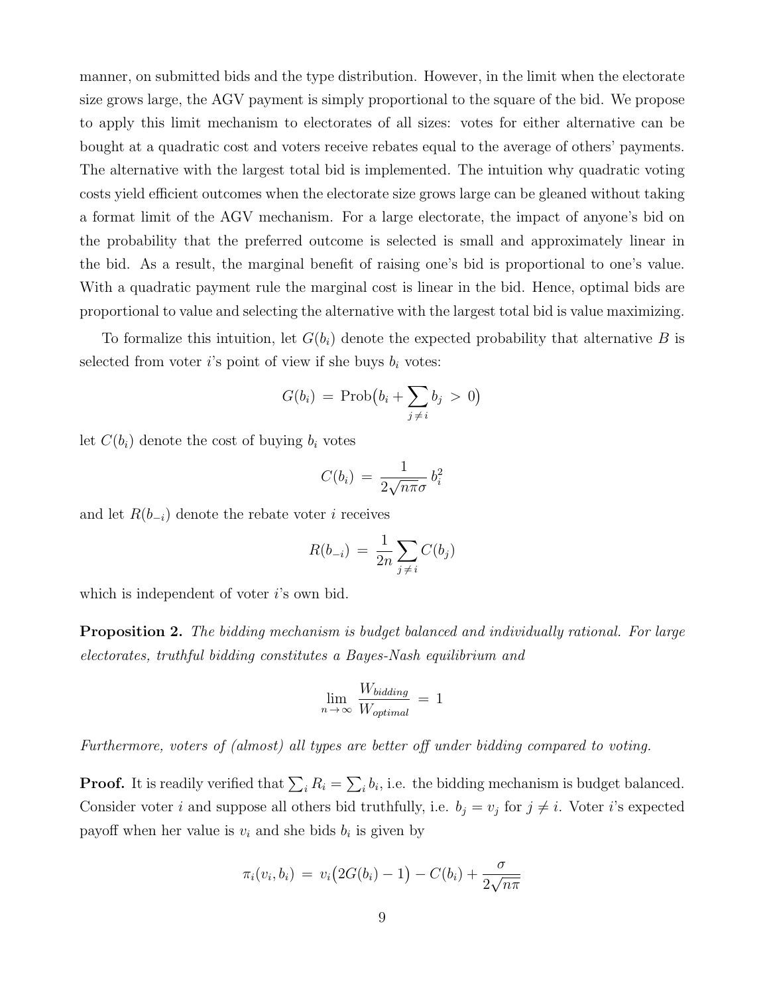manner, on submitted bids and the type distribution. However, in the limit when the electorate size grows large, the AGV payment is simply proportional to the square of the bid. We propose to apply this limit mechanism to electorates of all sizes: votes for either alternative can be bought at a quadratic cost and voters receive rebates equal to the average of others' payments. The alternative with the largest total bid is implemented. The intuition why quadratic voting costs yield efficient outcomes when the electorate size grows large can be gleaned without taking a format limit of the AGV mechanism. For a large electorate, the impact of anyone's bid on the probability that the preferred outcome is selected is small and approximately linear in the bid. As a result, the marginal benefit of raising one's bid is proportional to one's value. With a quadratic payment rule the marginal cost is linear in the bid. Hence, optimal bids are proportional to value and selecting the alternative with the largest total bid is value maximizing.

To formalize this intuition, let  $G(b_i)$  denote the expected probability that alternative B is selected from voter i's point of view if she buys  $b_i$  votes:

$$
G(b_i) = \text{Prob}(b_i + \sum_{j \neq i} b_j > 0)
$$

let  $C(b_i)$  denote the cost of buying  $b_i$  votes

$$
C(b_i) = \frac{1}{2\sqrt{n\pi}\sigma} b_i^2
$$

and let  $R(b_{-i})$  denote the rebate voter *i* receives

$$
R(b_{-i}) = \frac{1}{2n} \sum_{j \neq i} C(b_j)
$$

which is independent of voter *i*'s own bid.

Proposition 2. The bidding mechanism is budget balanced and individually rational. For large electorates, truthful bidding constitutes a Bayes-Nash equilibrium and

$$
\lim_{n \to \infty} \frac{W_{bidding}}{W_{optimal}} = 1
$$

Furthermore, voters of (almost) all types are better off under bidding compared to voting.

**Proof.** It is readily verified that  $\sum_i R_i = \sum_i b_i$ , i.e. the bidding mechanism is budget balanced. Consider voter *i* and suppose all others bid truthfully, i.e.  $b_j = v_j$  for  $j \neq i$ . Voter *i*'s expected payoff when her value is  $v_i$  and she bids  $b_i$  is given by

$$
\pi_i(v_i, b_i) = v_i(2G(b_i) - 1) - C(b_i) + \frac{\sigma}{2\sqrt{n\pi}}
$$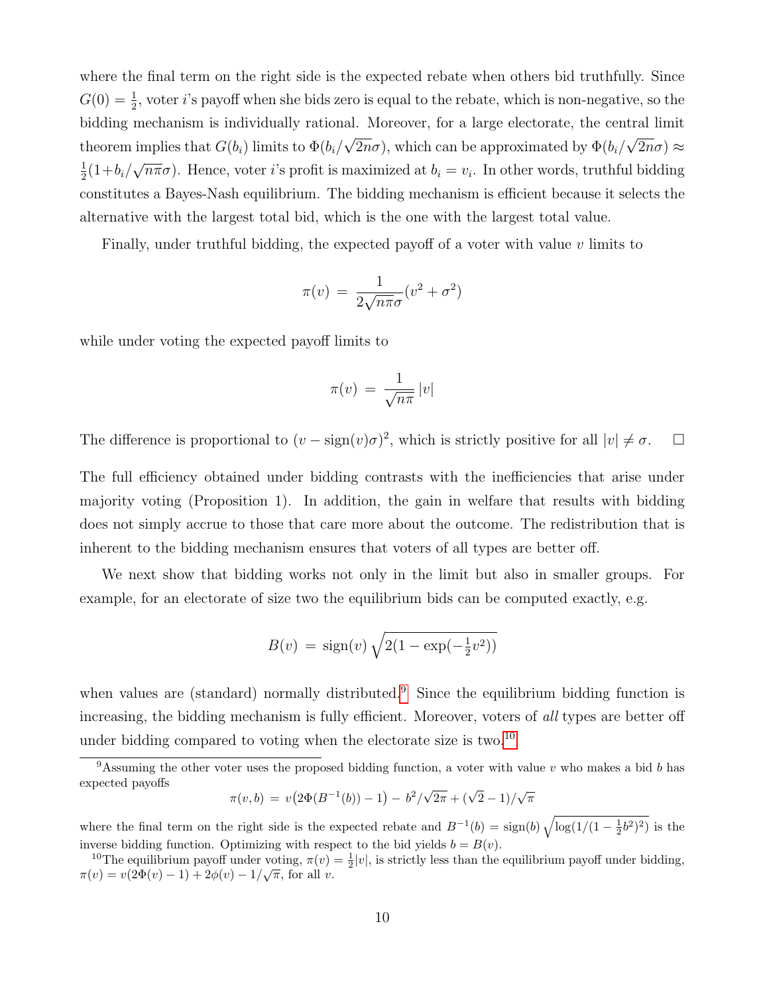where the final term on the right side is the expected rebate when others bid truthfully. Since  $G(0) = \frac{1}{2}$ , voter *i*'s payoff when she bids zero is equal to the rebate, which is non-negative, so the bidding mechanism is individually rational. Moreover, for a large electorate, the central limit theorem implies that  $G(b_i)$  limits to  $\Phi(b_i/\sqrt{2n\sigma})$ , which can be approximated by  $\Phi(b_i/\sqrt{2n\sigma}) \approx$  $\sqrt{2}$   $\sqrt{2}$   $\sqrt{2}$   $\sqrt{2}$   $\sqrt{2}$   $\sqrt{2}$   $\sqrt{2}$   $\sqrt{2}$   $\sqrt{2}$   $\sqrt{2}$   $\sqrt{2}$   $\sqrt{2}$   $\sqrt{2}$   $\sqrt{2}$   $\sqrt{2}$   $\sqrt{2}$   $\sqrt{2}$   $\sqrt{2}$   $\sqrt{2}$   $\sqrt{2}$   $\sqrt{2}$   $\sqrt{2}$   $\sqrt{2}$   $\sqrt{2}$   $\sqrt{2}$   $\sqrt{2}$   $\sqrt{2}$   $\sqrt{2$ 1  $\frac{1}{2}(1+b_i)$ √  $\overline{n\pi}\sigma$ ). Hence, voter *i*'s profit is maximized at  $b_i = v_i$ . In other words, truthful bidding constitutes a Bayes-Nash equilibrium. The bidding mechanism is efficient because it selects the alternative with the largest total bid, which is the one with the largest total value.

Finally, under truthful bidding, the expected payoff of a voter with value  $v$  limits to

$$
\pi(v) \,=\, \frac{1}{2\sqrt{n\pi}\sigma}(v^2+\sigma^2)
$$

while under voting the expected payoff limits to

$$
\pi(v) = \frac{1}{\sqrt{n\pi}}|v|
$$

The difference is proportional to  $(v - sign(v)\sigma)^2$ , which is strictly positive for all  $|v| \neq \sigma$ .  $\Box$ 

The full efficiency obtained under bidding contrasts with the inefficiencies that arise under majority voting (Proposition 1). In addition, the gain in welfare that results with bidding does not simply accrue to those that care more about the outcome. The redistribution that is inherent to the bidding mechanism ensures that voters of all types are better off.

We next show that bidding works not only in the limit but also in smaller groups. For example, for an electorate of size two the equilibrium bids can be computed exactly, e.g.

$$
B(v) = sign(v)\sqrt{2(1 - exp(-\frac{1}{2}v^2))}
$$

when values are (standard) normally distributed.<sup>[9](#page-10-0)</sup> Since the equilibrium bidding function is increasing, the bidding mechanism is fully efficient. Moreover, voters of all types are better off under bidding compared to voting when the electorate size is two.[10](#page-10-1)

$$
\pi(v, b) = v(2\Phi(B^{-1}(b)) - 1) - b^2/\sqrt{2\pi} + (\sqrt{2} - 1)/\sqrt{\pi}
$$

<span id="page-10-0"></span><sup>&</sup>lt;sup>9</sup>Assuming the other voter uses the proposed bidding function, a voter with value v who makes a bid b has expected payoffs √ √

where the final term on the right side is the expected rebate and  $B^{-1}(b) = \text{sign}(b) \sqrt{\log(1/(1 - \frac{1}{2}b^2)^2)}$  is the inverse bidding function. Optimizing with respect to the bid yields  $b = B(v)$ .

<span id="page-10-1"></span><sup>&</sup>lt;sup>10</sup>The equilibrium payoff under voting,  $\pi(v) = \frac{1}{2}|v|$ , is strictly less than the equilibrium payoff under bidding,  $\pi(v) = v(2\Phi(v) - 1) + 2\phi(v) - 1/\sqrt{\pi}$ , for all v.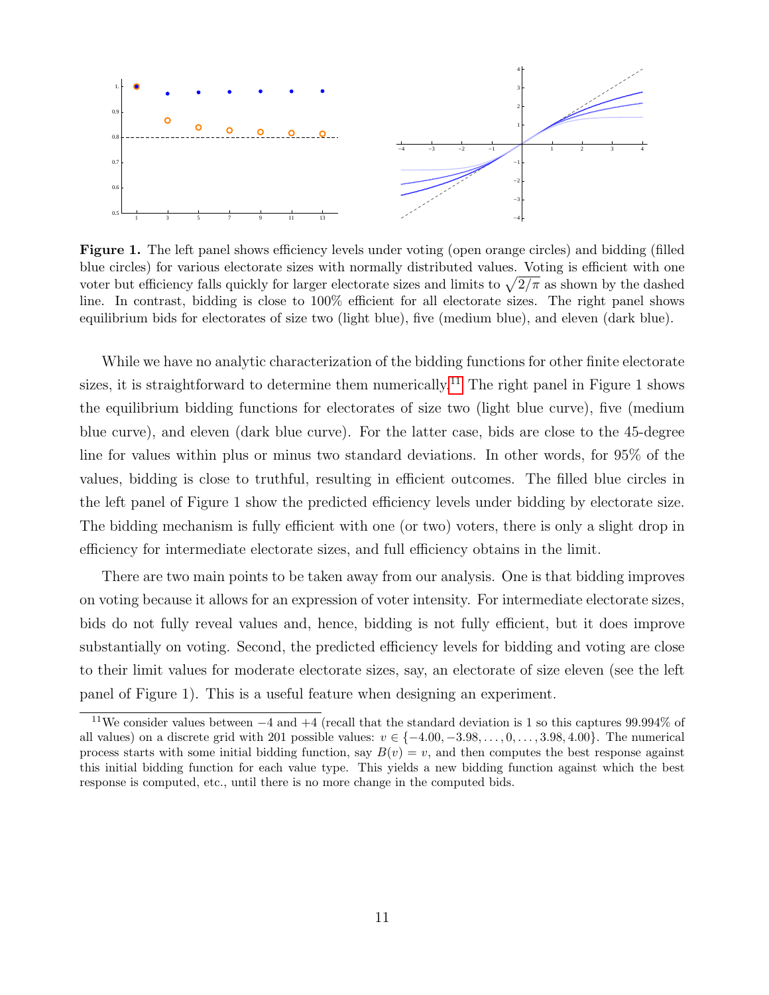

Figure 1. The left panel shows efficiency levels under voting (open orange circles) and bidding (filled blue circles) for various electorate sizes with normally distributed values. Voting is efficient with one voter but efficiency falls quickly for larger electorate sizes and limits to  $\sqrt{2/\pi}$  as shown by the dashed line. In contrast, bidding is close to 100% efficient for all electorate sizes. The right panel shows equilibrium bids for electorates of size two (light blue), five (medium blue), and eleven (dark blue).

While we have no analytic characterization of the bidding functions for other finite electorate sizes, it is straightforward to determine them numerically.<sup>[11](#page-11-0)</sup> The right panel in Figure 1 shows the equilibrium bidding functions for electorates of size two (light blue curve), five (medium blue curve), and eleven (dark blue curve). For the latter case, bids are close to the 45-degree line for values within plus or minus two standard deviations. In other words, for 95% of the values, bidding is close to truthful, resulting in efficient outcomes. The filled blue circles in the left panel of Figure 1 show the predicted efficiency levels under bidding by electorate size. The bidding mechanism is fully efficient with one (or two) voters, there is only a slight drop in efficiency for intermediate electorate sizes, and full efficiency obtains in the limit.

There are two main points to be taken away from our analysis. One is that bidding improves on voting because it allows for an expression of voter intensity. For intermediate electorate sizes, bids do not fully reveal values and, hence, bidding is not fully efficient, but it does improve substantially on voting. Second, the predicted efficiency levels for bidding and voting are close to their limit values for moderate electorate sizes, say, an electorate of size eleven (see the left panel of Figure 1). This is a useful feature when designing an experiment.

<span id="page-11-0"></span><sup>&</sup>lt;sup>11</sup>We consider values between  $-4$  and  $+4$  (recall that the standard deviation is 1 so this captures 99.994% of all values) on a discrete grid with 201 possible values:  $v \in \{-4.00, -3.98, \ldots, 0, \ldots, 3.98, 4.00\}$ . The numerical process starts with some initial bidding function, say  $B(v) = v$ , and then computes the best response against this initial bidding function for each value type. This yields a new bidding function against which the best response is computed, etc., until there is no more change in the computed bids.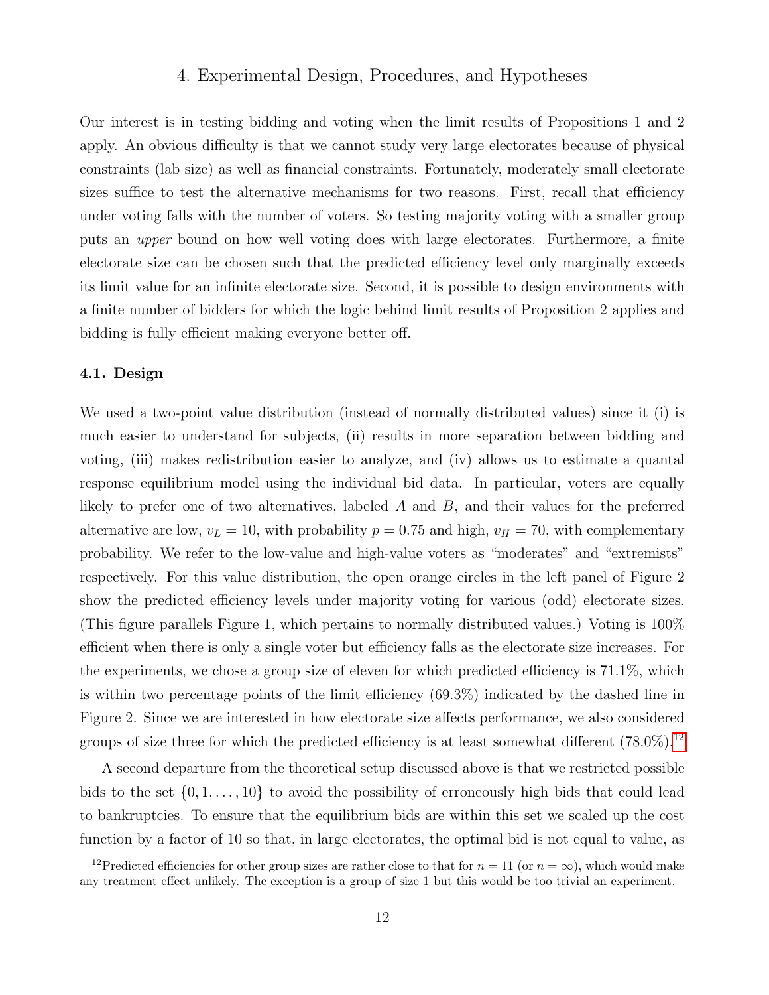## 4. Experimental Design, Procedures, and Hypotheses

Our interest is in testing bidding and voting when the limit results of Propositions 1 and 2 apply. An obvious difficulty is that we cannot study very large electorates because of physical constraints (lab size) as well as financial constraints. Fortunately, moderately small electorate sizes suffice to test the alternative mechanisms for two reasons. First, recall that efficiency under voting falls with the number of voters. So testing majority voting with a smaller group puts an upper bound on how well voting does with large electorates. Furthermore, a finite electorate size can be chosen such that the predicted efficiency level only marginally exceeds its limit value for an infinite electorate size. Second, it is possible to design environments with a finite number of bidders for which the logic behind limit results of Proposition 2 applies and bidding is fully efficient making everyone better off.

#### 4.1. Design

We used a two-point value distribution (instead of normally distributed values) since it (i) is much easier to understand for subjects, (ii) results in more separation between bidding and voting, (iii) makes redistribution easier to analyze, and (iv) allows us to estimate a quantal response equilibrium model using the individual bid data. In particular, voters are equally likely to prefer one of two alternatives, labeled A and B, and their values for the preferred alternative are low,  $v_L = 10$ , with probability  $p = 0.75$  and high,  $v_H = 70$ , with complementary probability. We refer to the low-value and high-value voters as "moderates" and "extremists" respectively. For this value distribution, the open orange circles in the left panel of Figure 2 show the predicted efficiency levels under majority voting for various (odd) electorate sizes. (This figure parallels Figure 1, which pertains to normally distributed values.) Voting is 100% efficient when there is only a single voter but efficiency falls as the electorate size increases. For the experiments, we chose a group size of eleven for which predicted efficiency is 71.1%, which is within two percentage points of the limit efficiency (69.3%) indicated by the dashed line in Figure 2. Since we are interested in how electorate size affects performance, we also considered groups of size three for which the predicted efficiency is at least somewhat different  $(78.0\%)$ .<sup>[12](#page-12-0)</sup>

A second departure from the theoretical setup discussed above is that we restricted possible bids to the set  $\{0, 1, \ldots, 10\}$  to avoid the possibility of erroneously high bids that could lead to bankruptcies. To ensure that the equilibrium bids are within this set we scaled up the cost function by a factor of 10 so that, in large electorates, the optimal bid is not equal to value, as

<span id="page-12-0"></span><sup>&</sup>lt;sup>12</sup>Predicted efficiencies for other group sizes are rather close to that for  $n = 11$  (or  $n = \infty$ ), which would make any treatment effect unlikely. The exception is a group of size 1 but this would be too trivial an experiment.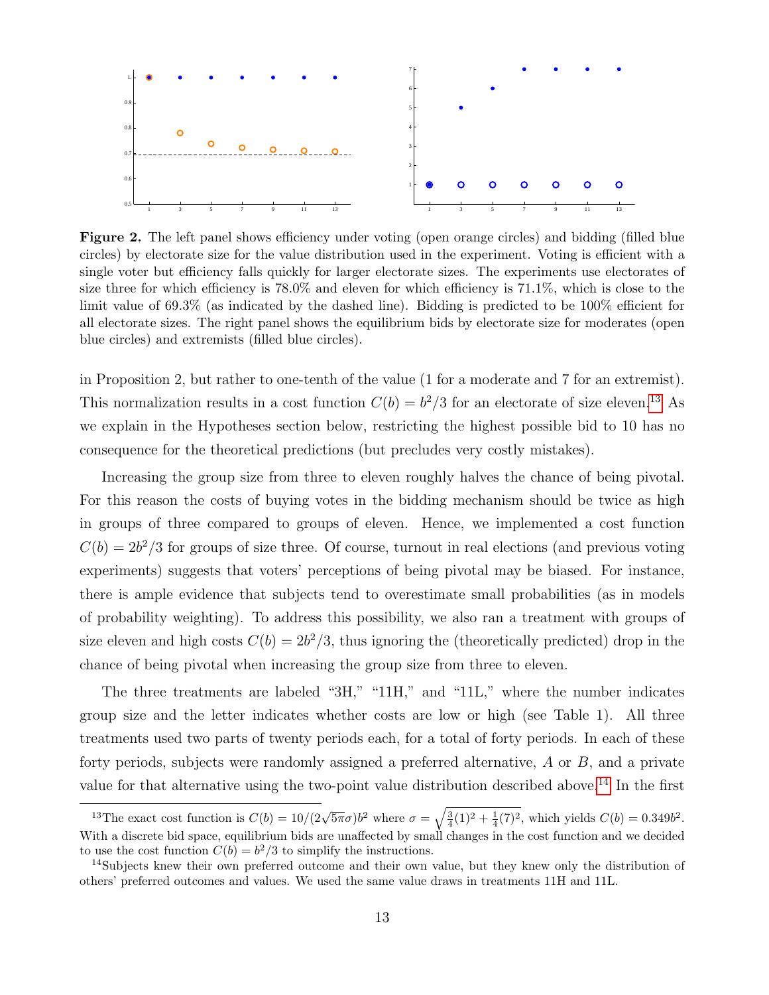

Figure 2. The left panel shows efficiency under voting (open orange circles) and bidding (filled blue circles) by electorate size for the value distribution used in the experiment. Voting is efficient with a single voter but efficiency falls quickly for larger electorate sizes. The experiments use electorates of size three for which efficiency is 78.0% and eleven for which efficiency is 71.1%, which is close to the limit value of 69.3% (as indicated by the dashed line). Bidding is predicted to be 100% efficient for all electorate sizes. The right panel shows the equilibrium bids by electorate size for moderates (open blue circles) and extremists (filled blue circles).

in Proposition 2, but rather to one-tenth of the value (1 for a moderate and 7 for an extremist). This normalization results in a cost function  $C(b) = b^2/3$  for an electorate of size eleven.<sup>[13](#page-13-0)</sup> As we explain in the Hypotheses section below, restricting the highest possible bid to 10 has no consequence for the theoretical predictions (but precludes very costly mistakes).

Increasing the group size from three to eleven roughly halves the chance of being pivotal. For this reason the costs of buying votes in the bidding mechanism should be twice as high in groups of three compared to groups of eleven. Hence, we implemented a cost function  $C(b) = 2b^2/3$  for groups of size three. Of course, turnout in real elections (and previous voting experiments) suggests that voters' perceptions of being pivotal may be biased. For instance, there is ample evidence that subjects tend to overestimate small probabilities (as in models of probability weighting). To address this possibility, we also ran a treatment with groups of size eleven and high costs  $C(b) = 2b^2/3$ , thus ignoring the (theoretically predicted) drop in the chance of being pivotal when increasing the group size from three to eleven.

The three treatments are labeled "3H," "11H," and "11L," where the number indicates group size and the letter indicates whether costs are low or high (see Table 1). All three treatments used two parts of twenty periods each, for a total of forty periods. In each of these forty periods, subjects were randomly assigned a preferred alternative, A or B, and a private value for that alternative using the two-point value distribution described above.<sup>[14](#page-13-1)</sup> In the first

<span id="page-13-0"></span><sup>&</sup>lt;sup>13</sup>The exact cost function is  $C(b) = 10/(2\sqrt{5\pi}\sigma)b^2$  where  $\sigma = \sqrt{\frac{3}{4}(1)^2 + \frac{1}{4}(7)^2}$ , which yields  $C(b) = 0.349b^2$ . With a discrete bid space, equilibrium bids are unaffected by small changes in the cost function and we decided to use the cost function  $C(b) = b^2/3$  to simplify the instructions.

<span id="page-13-1"></span><sup>&</sup>lt;sup>14</sup>Subjects knew their own preferred outcome and their own value, but they knew only the distribution of others' preferred outcomes and values. We used the same value draws in treatments 11H and 11L.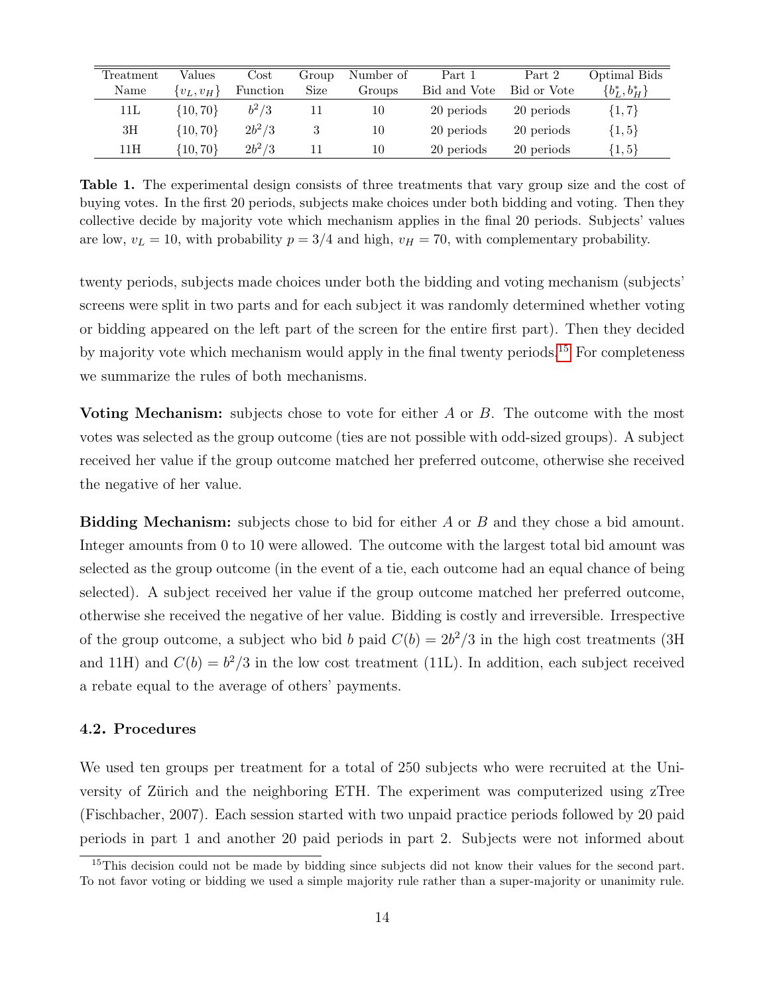| Treatment | Values         | Cost     | Group | Number of | Part 1       | Part 2      | Optimal Bids    |
|-----------|----------------|----------|-------|-----------|--------------|-------------|-----------------|
| Name      | $\{v_L, v_H\}$ | Function | Size  | Groups    | Bid and Vote | Bid or Vote | ${b_L^*,b_H^*}$ |
| 11L       | $\{10, 70\}$   | $b^2/3$  |       | 10        | 20 periods   | 20 periods  | $\{1,7\}$       |
| 3H        | $\{10, 70\}$   | $2b^2/3$ |       | 10        | 20 periods   | 20 periods  | $\{1,5\}$       |
| 11H       | [10, 70]       | $2b^2/3$ |       | 10        | 20 periods   | 20 periods  | $\{1,5\}$       |

Table 1. The experimental design consists of three treatments that vary group size and the cost of buying votes. In the first 20 periods, subjects make choices under both bidding and voting. Then they collective decide by majority vote which mechanism applies in the final 20 periods. Subjects' values are low,  $v_L = 10$ , with probability  $p = 3/4$  and high,  $v_H = 70$ , with complementary probability.

twenty periods, subjects made choices under both the bidding and voting mechanism (subjects' screens were split in two parts and for each subject it was randomly determined whether voting or bidding appeared on the left part of the screen for the entire first part). Then they decided by majority vote which mechanism would apply in the final twenty periods.<sup>[15](#page-14-0)</sup> For completeness we summarize the rules of both mechanisms.

**Voting Mechanism:** subjects chose to vote for either A or B. The outcome with the most votes was selected as the group outcome (ties are not possible with odd-sized groups). A subject received her value if the group outcome matched her preferred outcome, otherwise she received the negative of her value.

**Bidding Mechanism:** subjects chose to bid for either A or B and they chose a bid amount. Integer amounts from 0 to 10 were allowed. The outcome with the largest total bid amount was selected as the group outcome (in the event of a tie, each outcome had an equal chance of being selected). A subject received her value if the group outcome matched her preferred outcome, otherwise she received the negative of her value. Bidding is costly and irreversible. Irrespective of the group outcome, a subject who bid b paid  $C(b) = 2b^2/3$  in the high cost treatments (3H) and 11H) and  $C(b) = b^2/3$  in the low cost treatment (11L). In addition, each subject received a rebate equal to the average of others' payments.

#### 4.2. Procedures

We used ten groups per treatment for a total of 250 subjects who were recruited at the University of Zürich and the neighboring ETH. The experiment was computerized using zTree (Fischbacher, 2007). Each session started with two unpaid practice periods followed by 20 paid periods in part 1 and another 20 paid periods in part 2. Subjects were not informed about

<span id="page-14-0"></span><sup>&</sup>lt;sup>15</sup>This decision could not be made by bidding since subjects did not know their values for the second part. To not favor voting or bidding we used a simple majority rule rather than a super-majority or unanimity rule.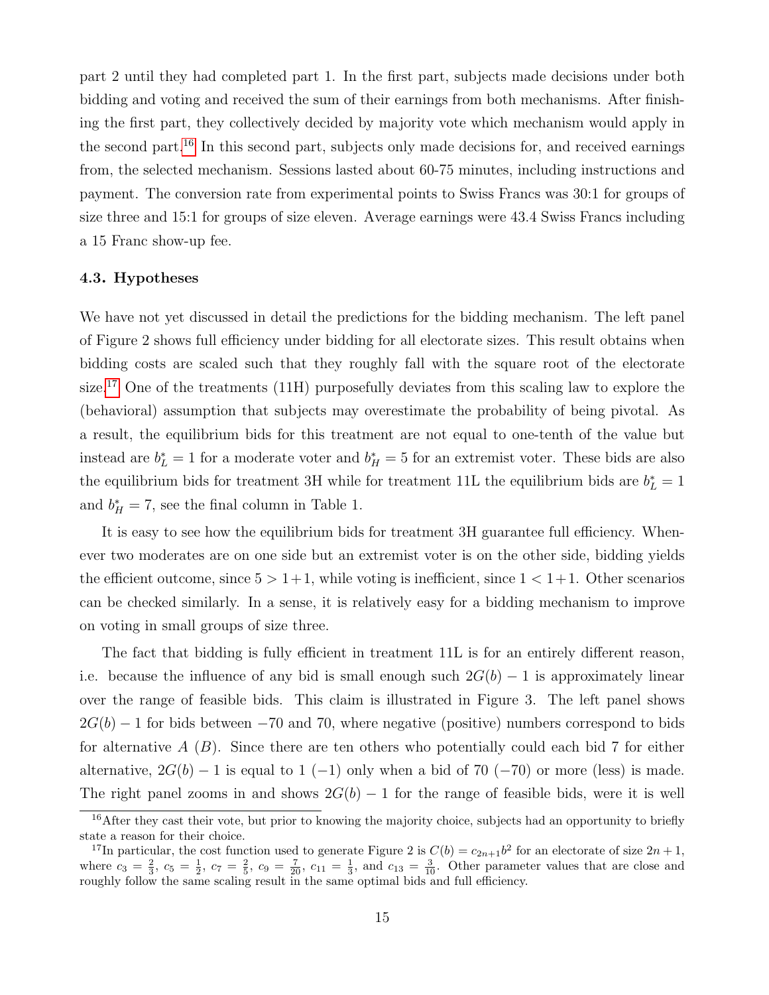part 2 until they had completed part 1. In the first part, subjects made decisions under both bidding and voting and received the sum of their earnings from both mechanisms. After finishing the first part, they collectively decided by majority vote which mechanism would apply in the second part.<sup>[16](#page-15-0)</sup> In this second part, subjects only made decisions for, and received earnings from, the selected mechanism. Sessions lasted about 60-75 minutes, including instructions and payment. The conversion rate from experimental points to Swiss Francs was 30:1 for groups of size three and 15:1 for groups of size eleven. Average earnings were 43.4 Swiss Francs including a 15 Franc show-up fee.

#### 4.3. Hypotheses

We have not yet discussed in detail the predictions for the bidding mechanism. The left panel of Figure 2 shows full efficiency under bidding for all electorate sizes. This result obtains when bidding costs are scaled such that they roughly fall with the square root of the electorate size.<sup>[17](#page-15-1)</sup> One of the treatments (11H) purposefully deviates from this scaling law to explore the (behavioral) assumption that subjects may overestimate the probability of being pivotal. As a result, the equilibrium bids for this treatment are not equal to one-tenth of the value but instead are  $b_L^* = 1$  for a moderate voter and  $b_H^* = 5$  for an extremist voter. These bids are also the equilibrium bids for treatment 3H while for treatment 11L the equilibrium bids are  $b_L^* = 1$ and  $b_H^* = 7$ , see the final column in Table 1.

It is easy to see how the equilibrium bids for treatment 3H guarantee full efficiency. Whenever two moderates are on one side but an extremist voter is on the other side, bidding yields the efficient outcome, since  $5 > 1+1$ , while voting is inefficient, since  $1 < 1+1$ . Other scenarios can be checked similarly. In a sense, it is relatively easy for a bidding mechanism to improve on voting in small groups of size three.

The fact that bidding is fully efficient in treatment 11L is for an entirely different reason, i.e. because the influence of any bid is small enough such  $2G(b) - 1$  is approximately linear over the range of feasible bids. This claim is illustrated in Figure 3. The left panel shows  $2G(b) - 1$  for bids between  $-70$  and 70, where negative (positive) numbers correspond to bids for alternative  $A(B)$ . Since there are ten others who potentially could each bid 7 for either alternative,  $2G(b) - 1$  is equal to 1 (−1) only when a bid of 70 (−70) or more (less) is made. The right panel zooms in and shows  $2G(b) - 1$  for the range of feasible bids, were it is well

<span id="page-15-0"></span><sup>&</sup>lt;sup>16</sup>After they cast their vote, but prior to knowing the majority choice, subjects had an opportunity to briefly state a reason for their choice.

<span id="page-15-1"></span><sup>&</sup>lt;sup>17</sup>In particular, the cost function used to generate Figure 2 is  $C(b) = c_{2n+1}b^2$  for an electorate of size  $2n + 1$ , where  $c_3 = \frac{2}{3}$ ,  $c_5 = \frac{1}{2}$ ,  $c_7 = \frac{2}{5}$ ,  $c_9 = \frac{7}{20}$ ,  $c_{11} = \frac{1}{3}$ , and  $c_{13} = \frac{3}{10}$ . Other parameter values that are close and roughly follow the same scaling result in the same optimal bids and full efficiency.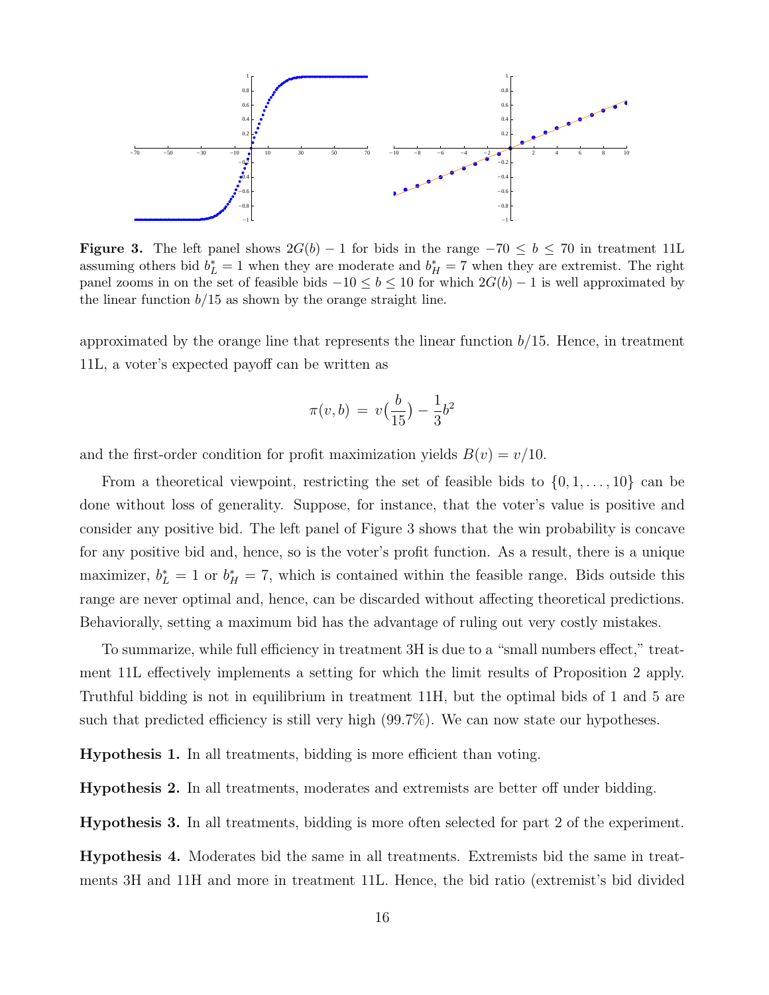

**Figure 3.** The left panel shows  $2G(b) - 1$  for bids in the range  $-70 \le b \le 70$  in treatment 11L assuming others bid  $b_L^* = 1$  when they are moderate and  $b_H^* = 7$  when they are extremist. The right panel zooms in on the set of feasible bids  $-10 \leq b \leq 10$  for which  $2G(b) - 1$  is well approximated by the linear function  $b/15$  as shown by the orange straight line.

approximated by the orange line that represents the linear function  $b/15$ . Hence, in treatment 11L, a voter's expected payoff can be written as

$$
\pi(v, b) = v\left(\frac{b}{15}\right) - \frac{1}{3}b^2
$$

and the first-order condition for profit maximization yields  $B(v) = v/10$ .

From a theoretical viewpoint, restricting the set of feasible bids to  $\{0, 1, \ldots, 10\}$  can be done without loss of generality. Suppose, for instance, that the voter's value is positive and consider any positive bid. The left panel of Figure 3 shows that the win probability is concave for any positive bid and, hence, so is the voter's profit function. As a result, there is a unique maximizer,  $b_L^* = 1$  or  $b_H^* = 7$ , which is contained within the feasible range. Bids outside this range are never optimal and, hence, can be discarded without affecting theoretical predictions. Behaviorally, setting a maximum bid has the advantage of ruling out very costly mistakes.

To summarize, while full efficiency in treatment 3H is due to a "small numbers effect," treatment 11L effectively implements a setting for which the limit results of Proposition 2 apply. Truthful bidding is not in equilibrium in treatment 11H, but the optimal bids of 1 and 5 are such that predicted efficiency is still very high (99.7%). We can now state our hypotheses.

Hypothesis 1. In all treatments, bidding is more efficient than voting.

Hypothesis 2. In all treatments, moderates and extremists are better off under bidding.

Hypothesis 3. In all treatments, bidding is more often selected for part 2 of the experiment.

Hypothesis 4. Moderates bid the same in all treatments. Extremists bid the same in treatments 3H and 11H and more in treatment 11L. Hence, the bid ratio (extremist's bid divided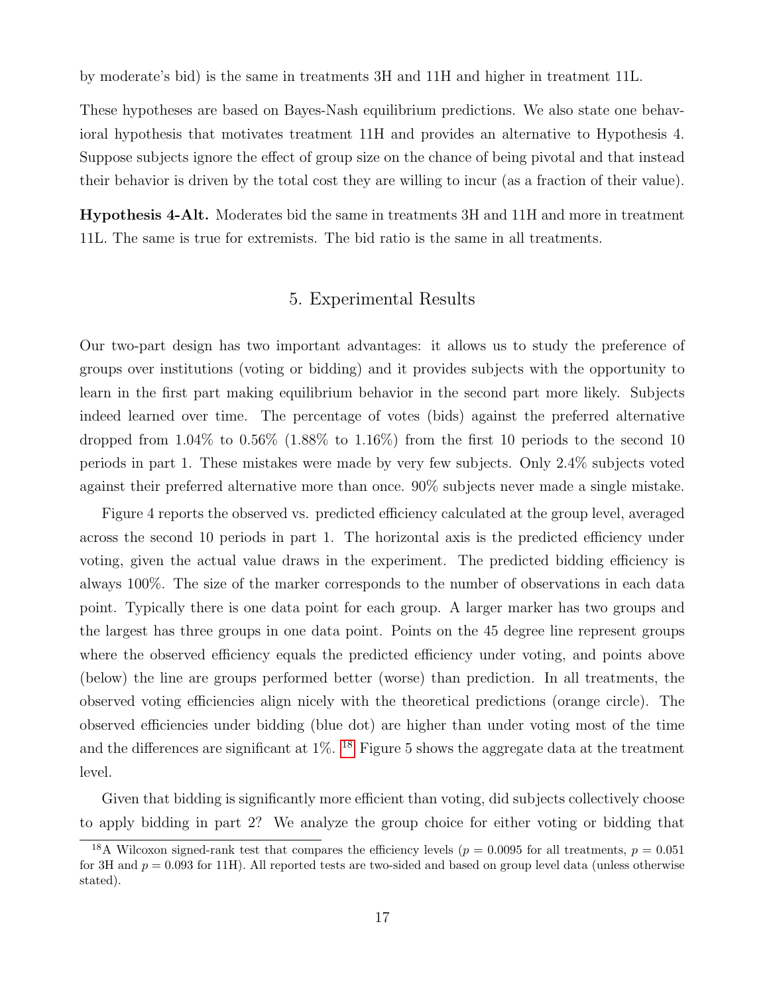by moderate's bid) is the same in treatments 3H and 11H and higher in treatment 11L.

These hypotheses are based on Bayes-Nash equilibrium predictions. We also state one behavioral hypothesis that motivates treatment 11H and provides an alternative to Hypothesis 4. Suppose subjects ignore the effect of group size on the chance of being pivotal and that instead their behavior is driven by the total cost they are willing to incur (as a fraction of their value).

Hypothesis 4-Alt. Moderates bid the same in treatments 3H and 11H and more in treatment 11L. The same is true for extremists. The bid ratio is the same in all treatments.

## 5. Experimental Results

Our two-part design has two important advantages: it allows us to study the preference of groups over institutions (voting or bidding) and it provides subjects with the opportunity to learn in the first part making equilibrium behavior in the second part more likely. Subjects indeed learned over time. The percentage of votes (bids) against the preferred alternative dropped from  $1.04\%$  to  $0.56\%$  (1.88% to 1.16%) from the first 10 periods to the second 10 periods in part 1. These mistakes were made by very few subjects. Only 2.4% subjects voted against their preferred alternative more than once. 90% subjects never made a single mistake.

Figure 4 reports the observed vs. predicted efficiency calculated at the group level, averaged across the second 10 periods in part 1. The horizontal axis is the predicted efficiency under voting, given the actual value draws in the experiment. The predicted bidding efficiency is always 100%. The size of the marker corresponds to the number of observations in each data point. Typically there is one data point for each group. A larger marker has two groups and the largest has three groups in one data point. Points on the 45 degree line represent groups where the observed efficiency equals the predicted efficiency under voting, and points above (below) the line are groups performed better (worse) than prediction. In all treatments, the observed voting efficiencies align nicely with the theoretical predictions (orange circle). The observed efficiencies under bidding (blue dot) are higher than under voting most of the time and the differences are significant at  $1\%$ . <sup>[18](#page-17-0)</sup> Figure 5 shows the aggregate data at the treatment level.

Given that bidding is significantly more efficient than voting, did subjects collectively choose to apply bidding in part 2? We analyze the group choice for either voting or bidding that

<span id="page-17-0"></span><sup>&</sup>lt;sup>18</sup>A Wilcoxon signed-rank test that compares the efficiency levels ( $p = 0.0095$  for all treatments,  $p = 0.051$ for 3H and  $p = 0.093$  for 11H). All reported tests are two-sided and based on group level data (unless otherwise stated).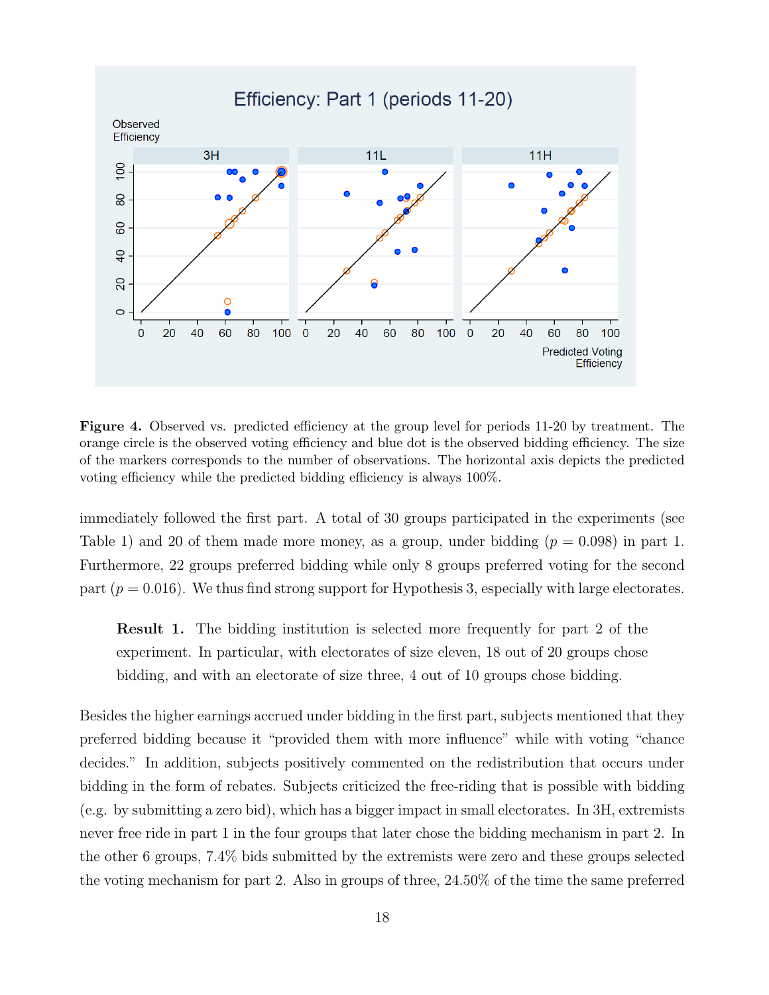

Figure 4. Observed vs. predicted efficiency at the group level for periods 11-20 by treatment. The orange circle is the observed voting efficiency and blue dot is the observed bidding efficiency. The size of the markers corresponds to the number of observations. The horizontal axis depicts the predicted voting efficiency while the predicted bidding efficiency is always 100%.

immediately followed the first part. A total of 30 groups participated in the experiments (see Table 1) and 20 of them made more money, as a group, under bidding  $(p = 0.098)$  in part 1. Furthermore, 22 groups preferred bidding while only 8 groups preferred voting for the second part  $(p = 0.016)$ . We thus find strong support for Hypothesis 3, especially with large electorates.

Result 1. The bidding institution is selected more frequently for part 2 of the experiment. In particular, with electorates of size eleven, 18 out of 20 groups chose bidding, and with an electorate of size three, 4 out of 10 groups chose bidding.

Besides the higher earnings accrued under bidding in the first part, subjects mentioned that they preferred bidding because it "provided them with more influence" while with voting "chance decides." In addition, subjects positively commented on the redistribution that occurs under bidding in the form of rebates. Subjects criticized the free-riding that is possible with bidding (e.g. by submitting a zero bid), which has a bigger impact in small electorates. In 3H, extremists never free ride in part 1 in the four groups that later chose the bidding mechanism in part 2. In the other 6 groups, 7.4% bids submitted by the extremists were zero and these groups selected the voting mechanism for part 2. Also in groups of three, 24.50% of the time the same preferred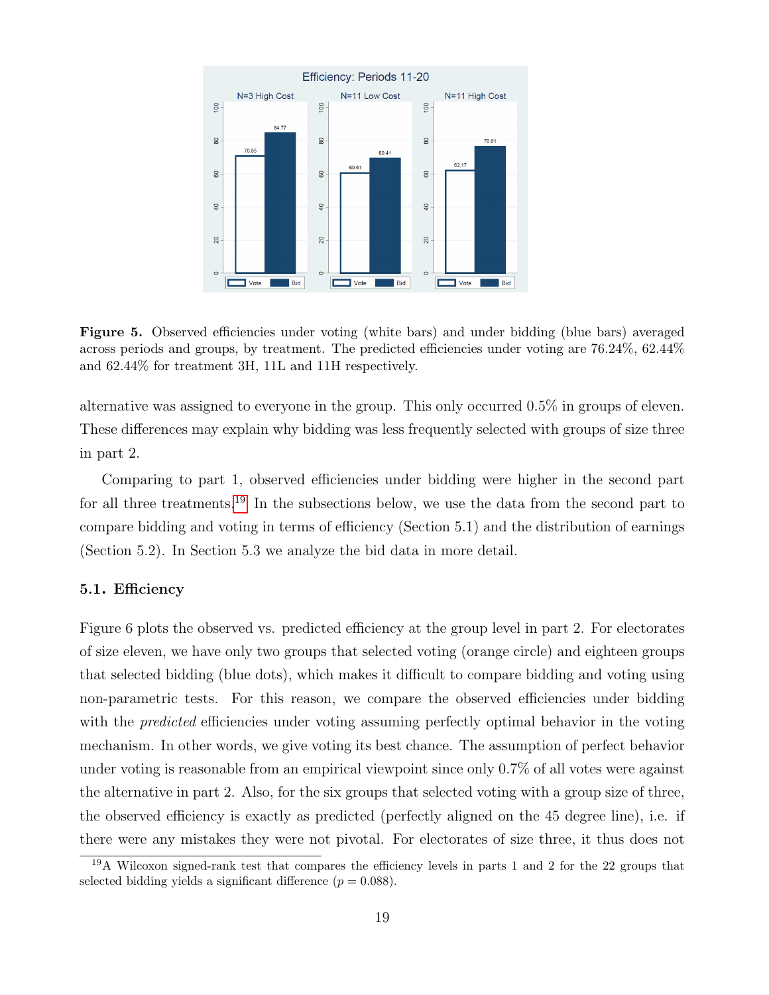

Figure 5. Observed efficiencies under voting (white bars) and under bidding (blue bars) averaged across periods and groups, by treatment. The predicted efficiencies under voting are 76.24%, 62.44% and 62.44% for treatment 3H, 11L and 11H respectively.

alternative was assigned to everyone in the group. This only occurred 0.5% in groups of eleven. These differences may explain why bidding was less frequently selected with groups of size three in part 2.

Comparing to part 1, observed efficiencies under bidding were higher in the second part for all three treatments.<sup>[19](#page-19-0)</sup> In the subsections below, we use the data from the second part to compare bidding and voting in terms of efficiency (Section 5.1) and the distribution of earnings (Section 5.2). In Section 5.3 we analyze the bid data in more detail.

#### 5.1. Efficiency

Figure 6 plots the observed vs. predicted efficiency at the group level in part 2. For electorates of size eleven, we have only two groups that selected voting (orange circle) and eighteen groups that selected bidding (blue dots), which makes it difficult to compare bidding and voting using non-parametric tests. For this reason, we compare the observed efficiencies under bidding with the *predicted* efficiencies under voting assuming perfectly optimal behavior in the voting mechanism. In other words, we give voting its best chance. The assumption of perfect behavior under voting is reasonable from an empirical viewpoint since only 0.7% of all votes were against the alternative in part 2. Also, for the six groups that selected voting with a group size of three, the observed efficiency is exactly as predicted (perfectly aligned on the 45 degree line), i.e. if there were any mistakes they were not pivotal. For electorates of size three, it thus does not

<span id="page-19-0"></span> $19A$  Wilcoxon signed-rank test that compares the efficiency levels in parts 1 and 2 for the 22 groups that selected bidding yields a significant difference  $(p = 0.088)$ .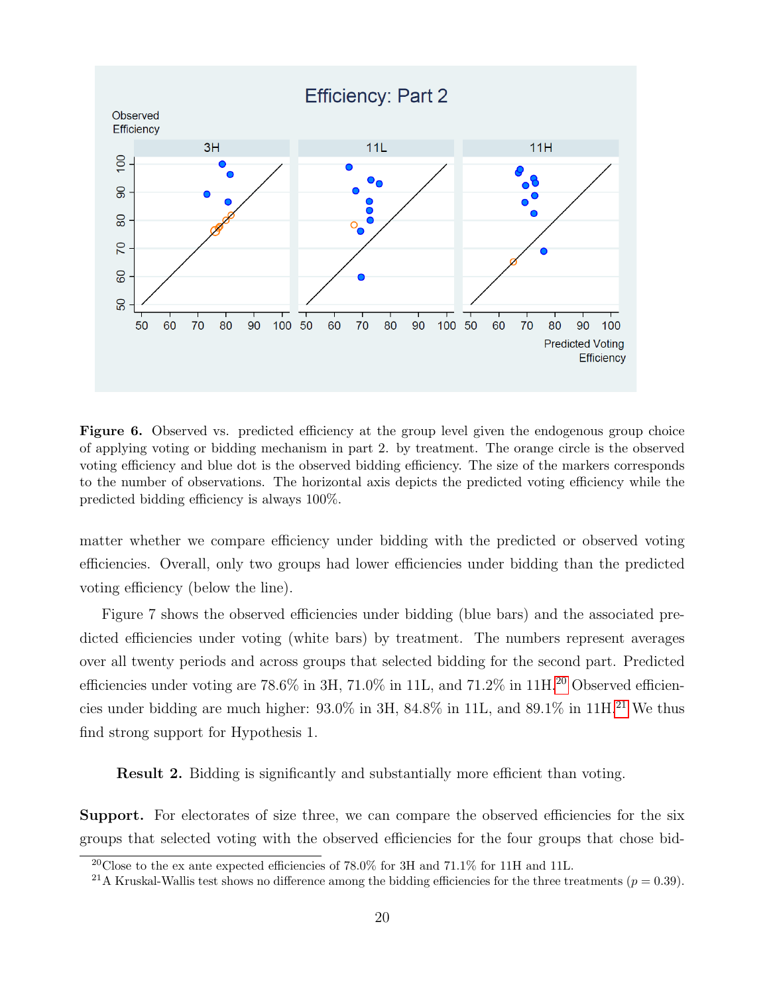

Figure 6. Observed vs. predicted efficiency at the group level given the endogenous group choice of applying voting or bidding mechanism in part 2. by treatment. The orange circle is the observed voting efficiency and blue dot is the observed bidding efficiency. The size of the markers corresponds to the number of observations. The horizontal axis depicts the predicted voting efficiency while the predicted bidding efficiency is always 100%.

matter whether we compare efficiency under bidding with the predicted or observed voting efficiencies. Overall, only two groups had lower efficiencies under bidding than the predicted voting efficiency (below the line).

Figure 7 shows the observed efficiencies under bidding (blue bars) and the associated predicted efficiencies under voting (white bars) by treatment. The numbers represent averages over all twenty periods and across groups that selected bidding for the second part. Predicted efficiencies under voting are  $78.6\%$  in 3H,  $71.0\%$  in 11L, and  $71.2\%$  in 11H.<sup>[20](#page-20-0)</sup> Observed efficiencies under bidding are much higher:  $93.0\%$  in 3H,  $84.8\%$  in 11L, and  $89.1\%$  in 11H.<sup>[21](#page-20-1)</sup> We thus find strong support for Hypothesis 1.

Result 2. Bidding is significantly and substantially more efficient than voting.

Support. For electorates of size three, we can compare the observed efficiencies for the six groups that selected voting with the observed efficiencies for the four groups that chose bid-

<span id="page-20-0"></span><sup>&</sup>lt;sup>20</sup>Close to the ex ante expected efficiencies of  $78.0\%$  for 3H and  $71.1\%$  for 11H and 11L.

<span id="page-20-1"></span><sup>&</sup>lt;sup>21</sup>A Kruskal-Wallis test shows no difference among the bidding efficiencies for the three treatments ( $p = 0.39$ ).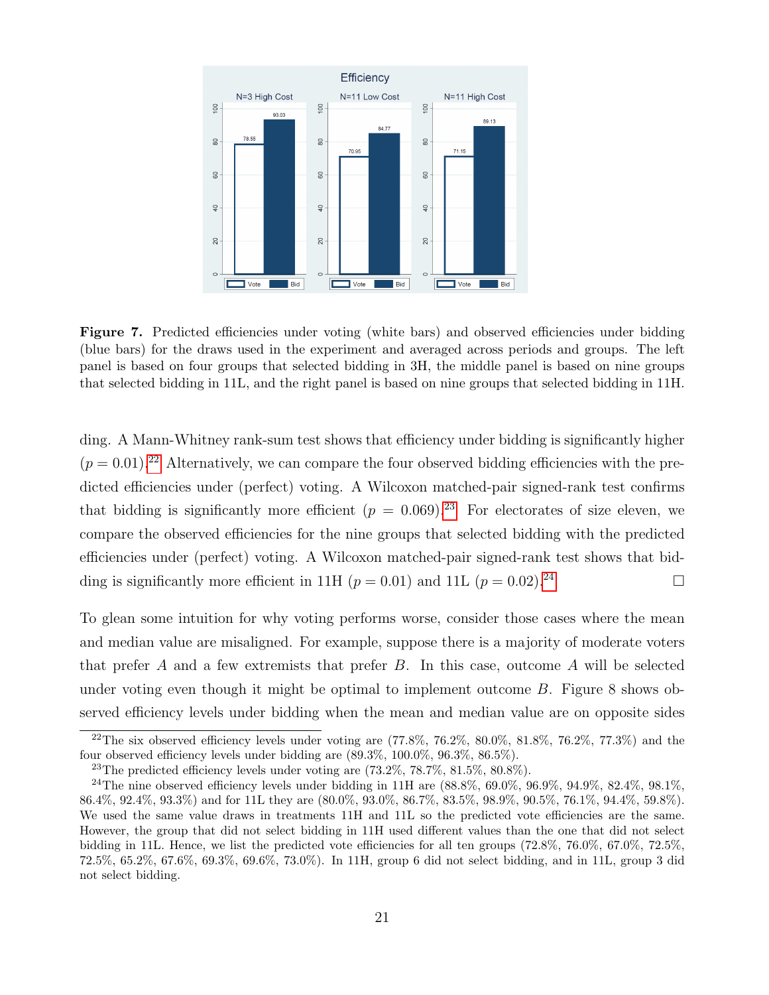

Figure 7. Predicted efficiencies under voting (white bars) and observed efficiencies under bidding (blue bars) for the draws used in the experiment and averaged across periods and groups. The left panel is based on four groups that selected bidding in 3H, the middle panel is based on nine groups that selected bidding in 11L, and the right panel is based on nine groups that selected bidding in 11H.

ding. A Mann-Whitney rank-sum test shows that efficiency under bidding is significantly higher  $(p = 0.01).^{22}$  $(p = 0.01).^{22}$  $(p = 0.01).^{22}$  Alternatively, we can compare the four observed bidding efficiencies with the predicted efficiencies under (perfect) voting. A Wilcoxon matched-pair signed-rank test confirms that bidding is significantly more efficient ( $p = 0.069$ ).<sup>[23](#page-21-1)</sup> For electorates of size eleven, we compare the observed efficiencies for the nine groups that selected bidding with the predicted efficiencies under (perfect) voting. A Wilcoxon matched-pair signed-rank test shows that bidding is significantly more efficient in 11H ( $p = 0.01$ ) and 11L ( $p = 0.02$ ).<sup>[24](#page-21-2)</sup>

To glean some intuition for why voting performs worse, consider those cases where the mean and median value are misaligned. For example, suppose there is a majority of moderate voters that prefer A and a few extremists that prefer  $B$ . In this case, outcome A will be selected under voting even though it might be optimal to implement outcome  $B$ . Figure 8 shows observed efficiency levels under bidding when the mean and median value are on opposite sides

<span id="page-21-0"></span><sup>&</sup>lt;sup>22</sup>The six observed efficiency levels under voting are  $(77.8\%, 76.2\%, 80.0\%, 81.8\%, 76.2\%, 77.3\%)$  and the four observed efficiency levels under bidding are (89.3%, 100.0%, 96.3%, 86.5%).

<span id="page-21-2"></span><span id="page-21-1"></span><sup>&</sup>lt;sup>23</sup>The predicted efficiency levels under voting are  $(73.2\%, 78.7\%, 81.5\%, 80.8\%).$ 

<sup>&</sup>lt;sup>24</sup>The nine observed efficiency levels under bidding in 11H are  $(88.8\%, 69.0\%, 96.9\%, 94.9\%, 82.4\%, 98.1\%,$ 86.4%, 92.4%, 93.3%) and for 11L they are (80.0%, 93.0%, 86.7%, 83.5%, 98.9%, 90.5%, 76.1%, 94.4%, 59.8%). We used the same value draws in treatments 11H and 11L so the predicted vote efficiencies are the same. However, the group that did not select bidding in 11H used different values than the one that did not select bidding in 11L. Hence, we list the predicted vote efficiencies for all ten groups (72.8%, 76.0%, 67.0%, 72.5%, 72.5%, 65.2%, 67.6%, 69.3%, 69.6%, 73.0%). In 11H, group 6 did not select bidding, and in 11L, group 3 did not select bidding.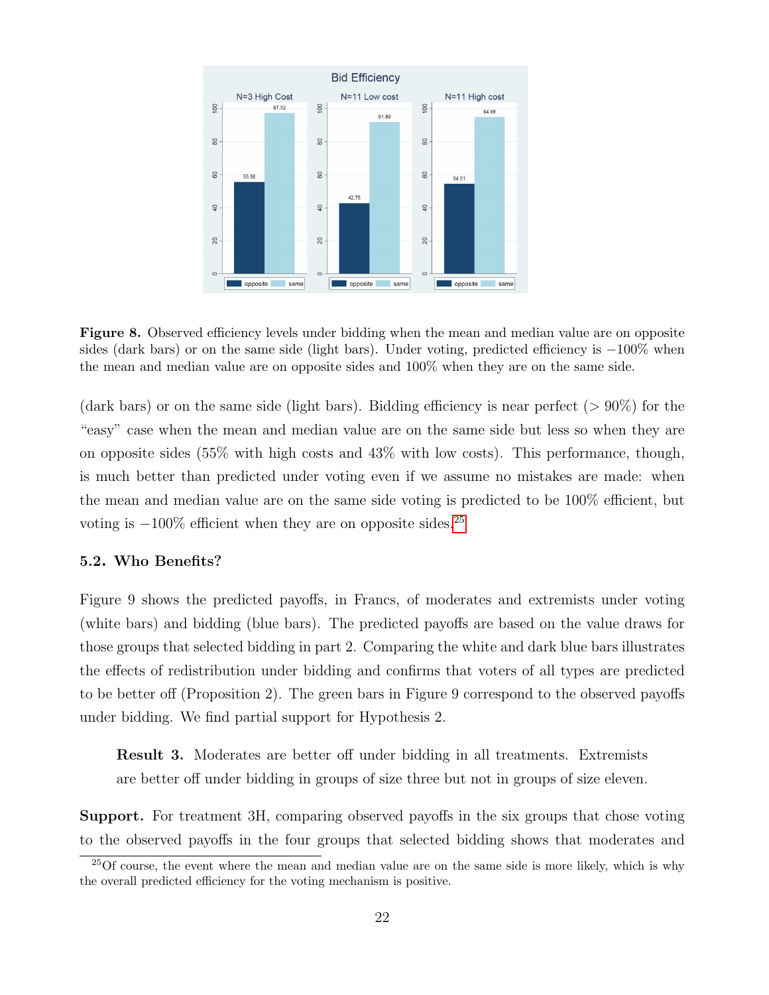

Figure 8. Observed efficiency levels under bidding when the mean and median value are on opposite sides (dark bars) or on the same side (light bars). Under voting, predicted efficiency is  $-100\%$  when the mean and median value are on opposite sides and 100% when they are on the same side.

(dark bars) or on the same side (light bars). Bidding efficiency is near perfect ( $>90\%$ ) for the "easy" case when the mean and median value are on the same side but less so when they are on opposite sides (55% with high costs and 43% with low costs). This performance, though, is much better than predicted under voting even if we assume no mistakes are made: when the mean and median value are on the same side voting is predicted to be 100% efficient, but voting is  $-100\%$  efficient when they are on opposite sides.<sup>[25](#page-22-0)</sup>

#### 5.2. Who Benefits?

Figure 9 shows the predicted payoffs, in Francs, of moderates and extremists under voting (white bars) and bidding (blue bars). The predicted payoffs are based on the value draws for those groups that selected bidding in part 2. Comparing the white and dark blue bars illustrates the effects of redistribution under bidding and confirms that voters of all types are predicted to be better off (Proposition 2). The green bars in Figure 9 correspond to the observed payoffs under bidding. We find partial support for Hypothesis 2.

Result 3. Moderates are better off under bidding in all treatments. Extremists are better off under bidding in groups of size three but not in groups of size eleven.

Support. For treatment 3H, comparing observed payoffs in the six groups that chose voting to the observed payoffs in the four groups that selected bidding shows that moderates and

<span id="page-22-0"></span><sup>&</sup>lt;sup>25</sup>Of course, the event where the mean and median value are on the same side is more likely, which is why the overall predicted efficiency for the voting mechanism is positive.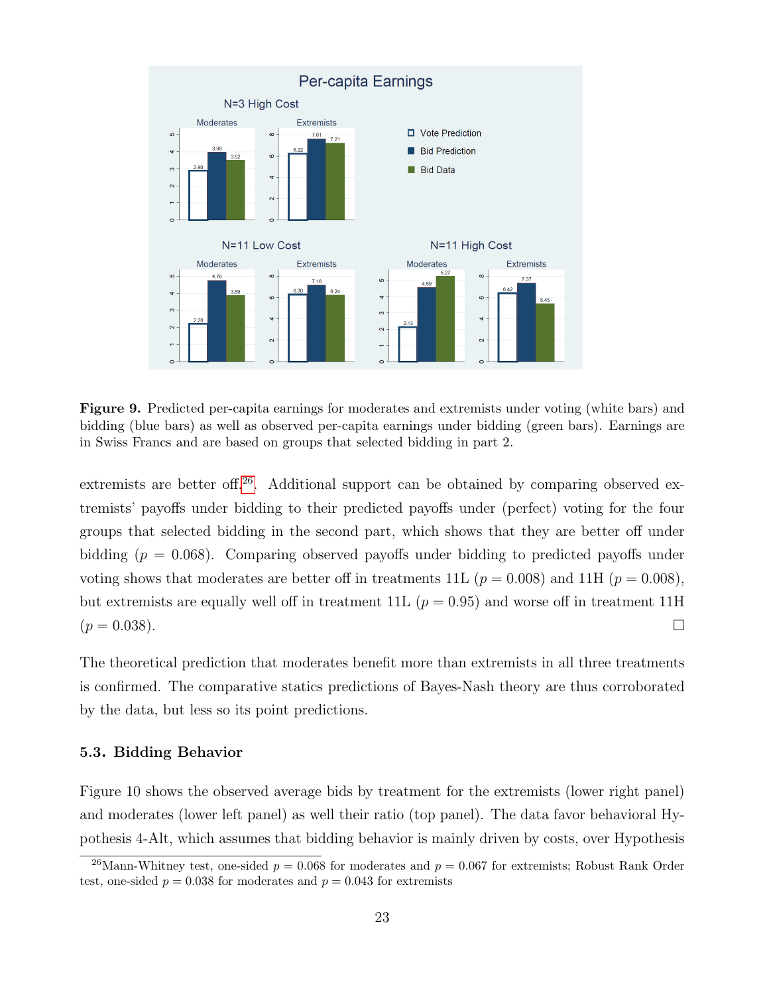

Figure 9. Predicted per-capita earnings for moderates and extremists under voting (white bars) and bidding (blue bars) as well as observed per-capita earnings under bidding (green bars). Earnings are in Swiss Francs and are based on groups that selected bidding in part 2.

extremists are better of  $2<sup>6</sup>$ . Additional support can be obtained by comparing observed extremists' payoffs under bidding to their predicted payoffs under (perfect) voting for the four groups that selected bidding in the second part, which shows that they are better off under bidding  $(p = 0.068)$ . Comparing observed payoffs under bidding to predicted payoffs under voting shows that moderates are better off in treatments 11L ( $p = 0.008$ ) and 11H ( $p = 0.008$ ), but extremists are equally well off in treatment 11L  $(p = 0.95)$  and worse off in treatment 11H  $(p = 0.038)$ .

The theoretical prediction that moderates benefit more than extremists in all three treatments is confirmed. The comparative statics predictions of Bayes-Nash theory are thus corroborated by the data, but less so its point predictions.

#### 5.3. Bidding Behavior

Figure 10 shows the observed average bids by treatment for the extremists (lower right panel) and moderates (lower left panel) as well their ratio (top panel). The data favor behavioral Hypothesis 4-Alt, which assumes that bidding behavior is mainly driven by costs, over Hypothesis

<span id="page-23-0"></span><sup>&</sup>lt;sup>26</sup>Mann-Whitney test, one-sided  $p = 0.068$  for moderates and  $p = 0.067$  for extremists; Robust Rank Order test, one-sided  $p = 0.038$  for moderates and  $p = 0.043$  for extremists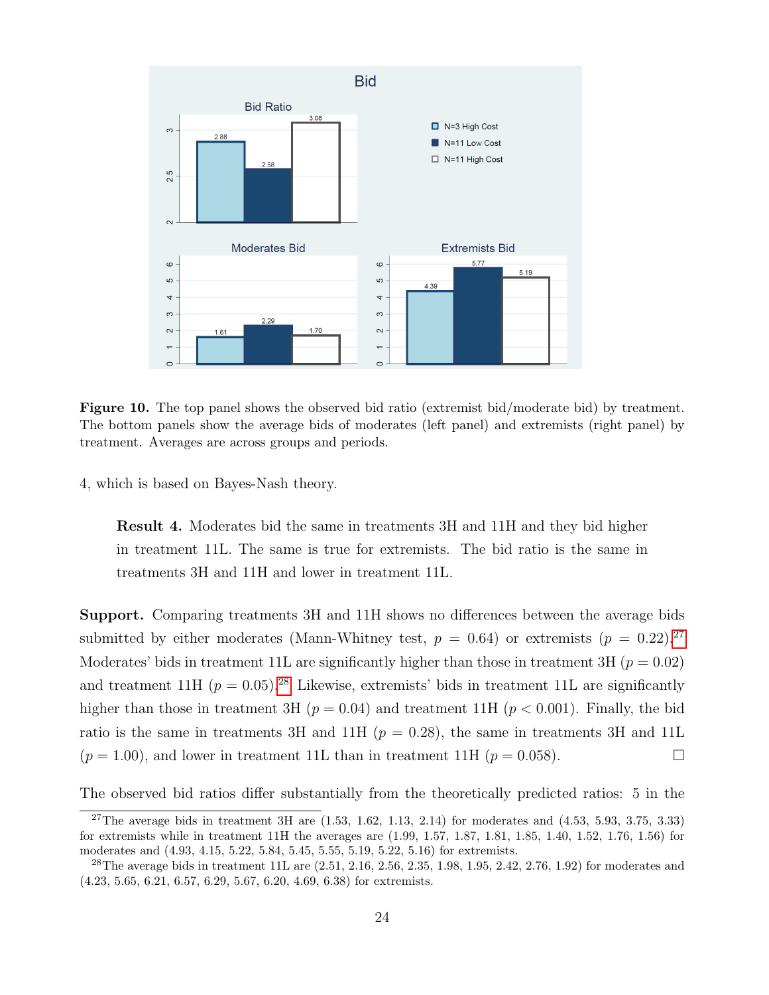

Figure 10. The top panel shows the observed bid ratio (extremist bid/moderate bid) by treatment. The bottom panels show the average bids of moderates (left panel) and extremists (right panel) by treatment. Averages are across groups and periods.

4, which is based on Bayes-Nash theory.

Result 4. Moderates bid the same in treatments 3H and 11H and they bid higher in treatment 11L. The same is true for extremists. The bid ratio is the same in treatments 3H and 11H and lower in treatment 11L.

Support. Comparing treatments 3H and 11H shows no differences between the average bids submitted by either moderates (Mann-Whitney test,  $p = 0.64$ ) or extremists  $(p = 0.22).^{27}$  $(p = 0.22).^{27}$  $(p = 0.22).^{27}$ Moderates' bids in treatment 11L are significantly higher than those in treatment 3H ( $p = 0.02$ ) and treatment 11H  $(p = 0.05)$ .<sup>[28](#page-24-1)</sup> Likewise, extremists' bids in treatment 11L are significantly higher than those in treatment 3H ( $p = 0.04$ ) and treatment 11H ( $p < 0.001$ ). Finally, the bid ratio is the same in treatments 3H and 11H ( $p = 0.28$ ), the same in treatments 3H and 11L  $(p = 1.00)$ , and lower in treatment 11L than in treatment 11H  $(p = 0.058)$ .

The observed bid ratios differ substantially from the theoretically predicted ratios: 5 in the

<span id="page-24-0"></span><sup>&</sup>lt;sup>27</sup>The average bids in treatment 3H are  $(1.53, 1.62, 1.13, 2.14)$  for moderates and  $(4.53, 5.93, 3.75, 3.33)$ for extremists while in treatment 11H the averages are (1.99, 1.57, 1.87, 1.81, 1.85, 1.40, 1.52, 1.76, 1.56) for moderates and (4.93, 4.15, 5.22, 5.84, 5.45, 5.55, 5.19, 5.22, 5.16) for extremists.

<span id="page-24-1"></span><sup>&</sup>lt;sup>28</sup>The average bids in treatment 11L are  $(2.51, 2.16, 2.56, 2.35, 1.98, 1.95, 2.42, 2.76, 1.92)$  for moderates and (4.23, 5.65, 6.21, 6.57, 6.29, 5.67, 6.20, 4.69, 6.38) for extremists.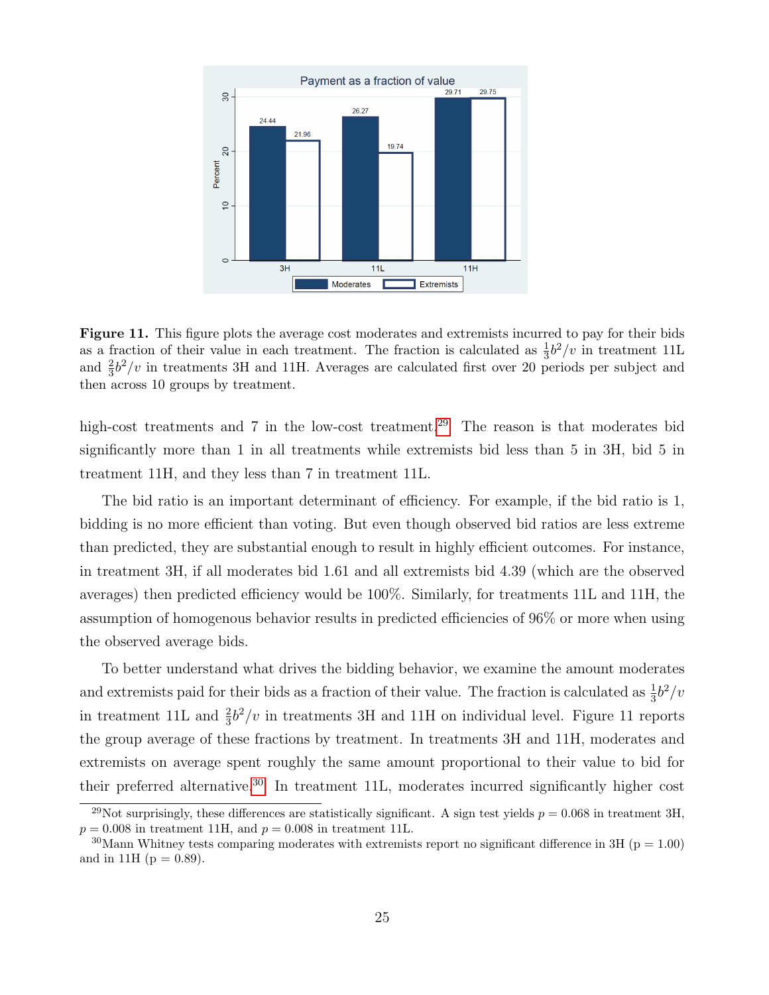

Figure 11. This figure plots the average cost moderates and extremists incurred to pay for their bids as a fraction of their value in each treatment. The fraction is calculated as  $\frac{1}{3}b^2/v$  in treatment 11L and  $\frac{2}{3}b^2/v$  in treatments 3H and 11H. Averages are calculated first over 20 periods per subject and then across 10 groups by treatment.

high-cost treatments and 7 in the low-cost treatment.<sup>[29](#page-25-0)</sup> The reason is that moderates bid significantly more than 1 in all treatments while extremists bid less than 5 in 3H, bid 5 in treatment 11H, and they less than 7 in treatment 11L.

The bid ratio is an important determinant of efficiency. For example, if the bid ratio is 1, bidding is no more efficient than voting. But even though observed bid ratios are less extreme than predicted, they are substantial enough to result in highly efficient outcomes. For instance, in treatment 3H, if all moderates bid 1.61 and all extremists bid 4.39 (which are the observed averages) then predicted efficiency would be 100%. Similarly, for treatments 11L and 11H, the assumption of homogenous behavior results in predicted efficiencies of 96% or more when using the observed average bids.

To better understand what drives the bidding behavior, we examine the amount moderates and extremists paid for their bids as a fraction of their value. The fraction is calculated as  $\frac{1}{3}b^2/v$ in treatment 11L and  $\frac{2}{3}b^2/v$  in treatments 3H and 11H on individual level. Figure 11 reports the group average of these fractions by treatment. In treatments 3H and 11H, moderates and extremists on average spent roughly the same amount proportional to their value to bid for their preferred alternative.[30](#page-25-1) In treatment 11L, moderates incurred significantly higher cost

<span id="page-25-0"></span><sup>&</sup>lt;sup>29</sup>Not surprisingly, these differences are statistically significant. A sign test yields  $p = 0.068$  in treatment 3H,  $p = 0.008$  in treatment 11H, and  $p = 0.008$  in treatment 11L.

<span id="page-25-1"></span> $30$ Mann Whitney tests comparing moderates with extremists report no significant difference in 3H (p = 1.00) and in 11H ( $p = 0.89$ ).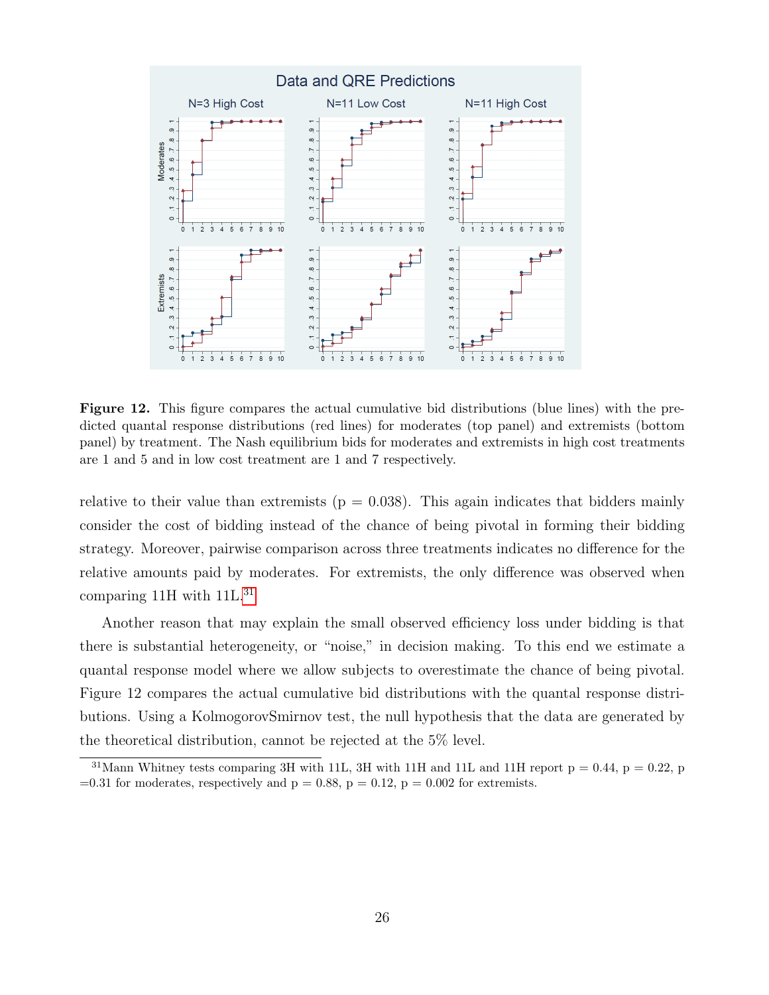

Figure 12. This figure compares the actual cumulative bid distributions (blue lines) with the predicted quantal response distributions (red lines) for moderates (top panel) and extremists (bottom panel) by treatment. The Nash equilibrium bids for moderates and extremists in high cost treatments are 1 and 5 and in low cost treatment are 1 and 7 respectively.

relative to their value than extremists ( $p = 0.038$ ). This again indicates that bidders mainly consider the cost of bidding instead of the chance of being pivotal in forming their bidding strategy. Moreover, pairwise comparison across three treatments indicates no difference for the relative amounts paid by moderates. For extremists, the only difference was observed when comparing 11H with  $11L^{31}$  $11L^{31}$  $11L^{31}$ 

Another reason that may explain the small observed efficiency loss under bidding is that there is substantial heterogeneity, or "noise," in decision making. To this end we estimate a quantal response model where we allow subjects to overestimate the chance of being pivotal. Figure 12 compares the actual cumulative bid distributions with the quantal response distributions. Using a KolmogorovSmirnov test, the null hypothesis that the data are generated by the theoretical distribution, cannot be rejected at the 5% level.

<span id="page-26-0"></span><sup>&</sup>lt;sup>31</sup>Mann Whitney tests comparing 3H with 11L, 3H with 11H and 11L and 11H report  $p = 0.44$ ,  $p = 0.22$ , p  $=0.31$  for moderates, respectively and  $p = 0.88$ ,  $p = 0.12$ ,  $p = 0.002$  for extremists.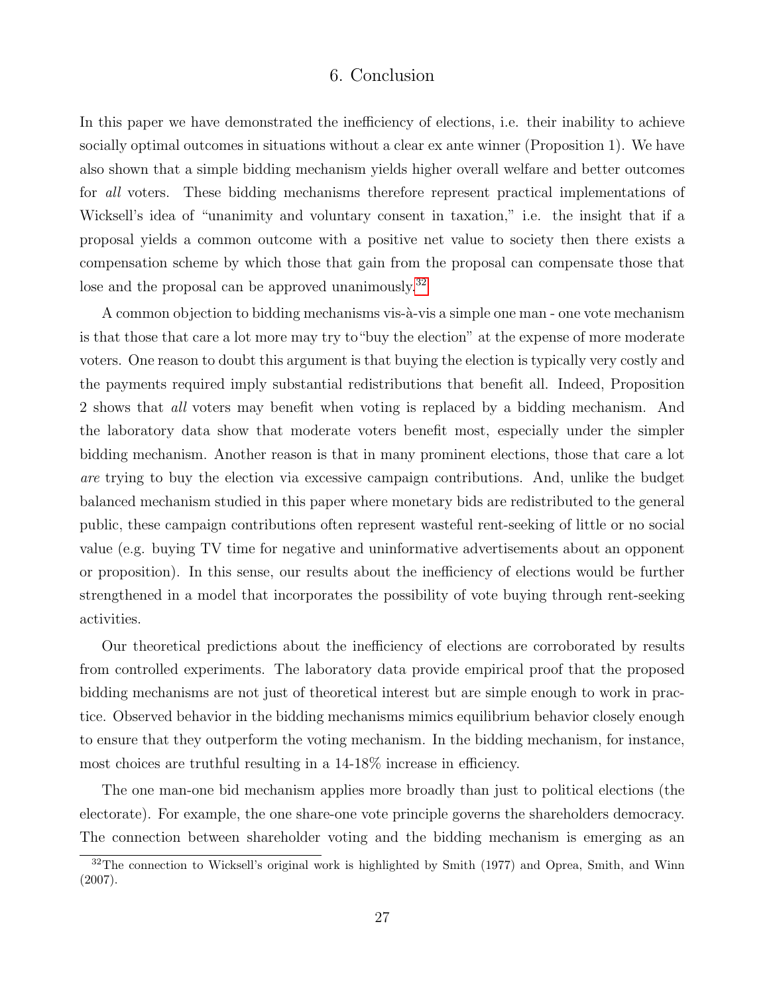## 6. Conclusion

In this paper we have demonstrated the inefficiency of elections, i.e. their inability to achieve socially optimal outcomes in situations without a clear ex ante winner (Proposition 1). We have also shown that a simple bidding mechanism yields higher overall welfare and better outcomes for all voters. These bidding mechanisms therefore represent practical implementations of Wicksell's idea of "unanimity and voluntary consent in taxation," i.e. the insight that if a proposal yields a common outcome with a positive net value to society then there exists a compensation scheme by which those that gain from the proposal can compensate those that lose and the proposal can be approved unanimously.<sup>[32](#page-27-0)</sup>

A common objection to bidding mechanisms vis-à-vis a simple one man - one vote mechanism is that those that care a lot more may try to"buy the election" at the expense of more moderate voters. One reason to doubt this argument is that buying the election is typically very costly and the payments required imply substantial redistributions that benefit all. Indeed, Proposition 2 shows that *all* voters may benefit when voting is replaced by a bidding mechanism. And the laboratory data show that moderate voters benefit most, especially under the simpler bidding mechanism. Another reason is that in many prominent elections, those that care a lot are trying to buy the election via excessive campaign contributions. And, unlike the budget balanced mechanism studied in this paper where monetary bids are redistributed to the general public, these campaign contributions often represent wasteful rent-seeking of little or no social value (e.g. buying TV time for negative and uninformative advertisements about an opponent or proposition). In this sense, our results about the inefficiency of elections would be further strengthened in a model that incorporates the possibility of vote buying through rent-seeking activities.

Our theoretical predictions about the inefficiency of elections are corroborated by results from controlled experiments. The laboratory data provide empirical proof that the proposed bidding mechanisms are not just of theoretical interest but are simple enough to work in practice. Observed behavior in the bidding mechanisms mimics equilibrium behavior closely enough to ensure that they outperform the voting mechanism. In the bidding mechanism, for instance, most choices are truthful resulting in a 14-18% increase in efficiency.

The one man-one bid mechanism applies more broadly than just to political elections (the electorate). For example, the one share-one vote principle governs the shareholders democracy. The connection between shareholder voting and the bidding mechanism is emerging as an

<span id="page-27-0"></span><sup>&</sup>lt;sup>32</sup>The connection to Wicksell's original work is highlighted by Smith (1977) and Oprea, Smith, and Winn (2007).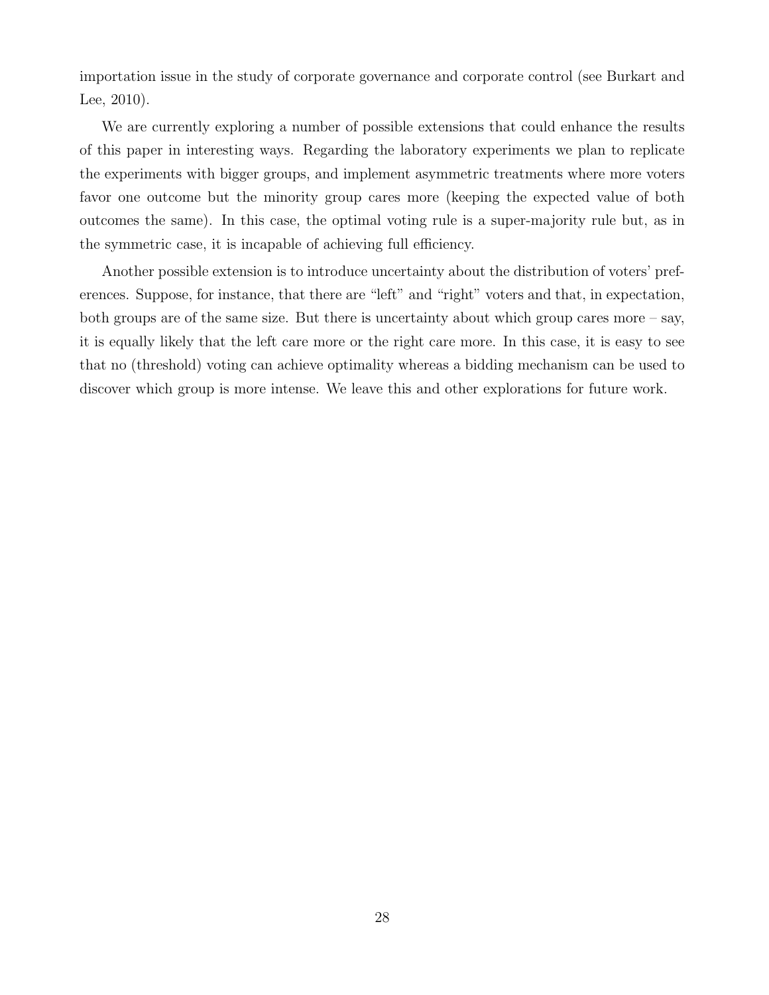importation issue in the study of corporate governance and corporate control (see Burkart and Lee, 2010).

We are currently exploring a number of possible extensions that could enhance the results of this paper in interesting ways. Regarding the laboratory experiments we plan to replicate the experiments with bigger groups, and implement asymmetric treatments where more voters favor one outcome but the minority group cares more (keeping the expected value of both outcomes the same). In this case, the optimal voting rule is a super-majority rule but, as in the symmetric case, it is incapable of achieving full efficiency.

Another possible extension is to introduce uncertainty about the distribution of voters' preferences. Suppose, for instance, that there are "left" and "right" voters and that, in expectation, both groups are of the same size. But there is uncertainty about which group cares more – say, it is equally likely that the left care more or the right care more. In this case, it is easy to see that no (threshold) voting can achieve optimality whereas a bidding mechanism can be used to discover which group is more intense. We leave this and other explorations for future work.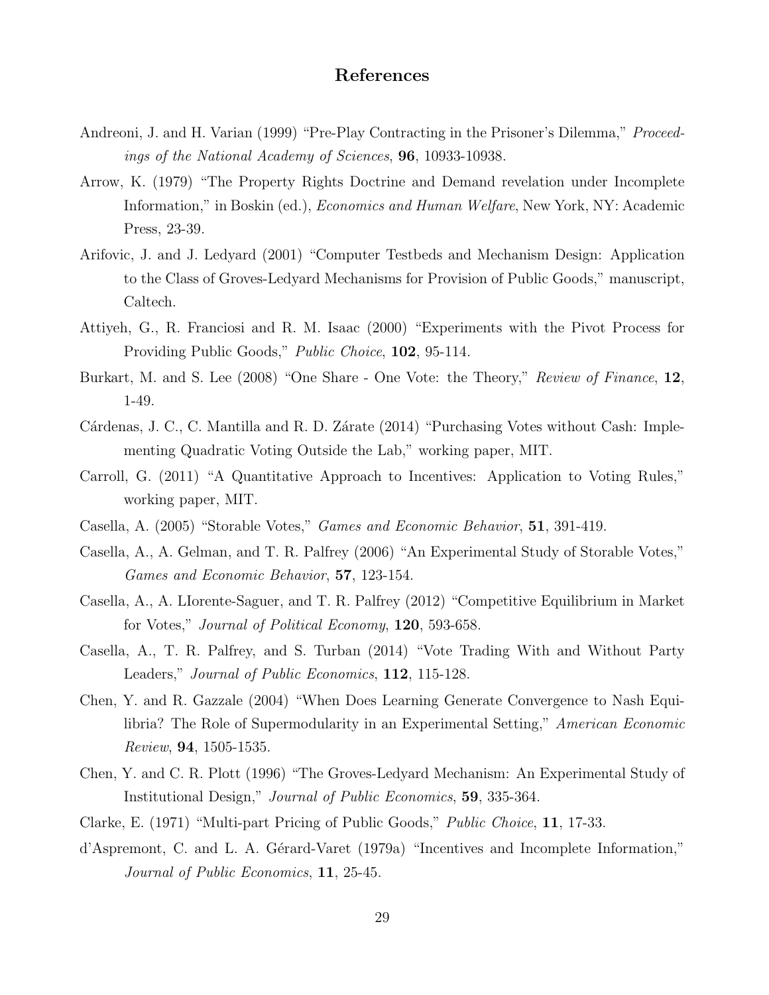## References

- Andreoni, J. and H. Varian (1999) "Pre-Play Contracting in the Prisoner's Dilemma," Proceedings of the National Academy of Sciences, 96, 10933-10938.
- Arrow, K. (1979) "The Property Rights Doctrine and Demand revelation under Incomplete Information," in Boskin (ed.), Economics and Human Welfare, New York, NY: Academic Press, 23-39.
- Arifovic, J. and J. Ledyard (2001) "Computer Testbeds and Mechanism Design: Application to the Class of Groves-Ledyard Mechanisms for Provision of Public Goods," manuscript, Caltech.
- Attiyeh, G., R. Franciosi and R. M. Isaac (2000) "Experiments with the Pivot Process for Providing Public Goods," Public Choice, 102, 95-114.
- Burkart, M. and S. Lee (2008) "One Share One Vote: the Theory," Review of Finance, 12, 1-49.
- Cárdenas, J. C., C. Mantilla and R. D. Zárate (2014) "Purchasing Votes without Cash: Implementing Quadratic Voting Outside the Lab," working paper, MIT.
- Carroll, G. (2011) "A Quantitative Approach to Incentives: Application to Voting Rules," working paper, MIT.
- Casella, A. (2005) "Storable Votes," Games and Economic Behavior, 51, 391-419.
- Casella, A., A. Gelman, and T. R. Palfrey (2006) "An Experimental Study of Storable Votes," Games and Economic Behavior, 57, 123-154.
- Casella, A., A. LIorente-Saguer, and T. R. Palfrey (2012) "Competitive Equilibrium in Market for Votes," Journal of Political Economy, 120, 593-658.
- Casella, A., T. R. Palfrey, and S. Turban (2014) "Vote Trading With and Without Party Leaders," Journal of Public Economics, 112, 115-128.
- Chen, Y. and R. Gazzale (2004) "When Does Learning Generate Convergence to Nash Equilibria? The Role of Supermodularity in an Experimental Setting," American Economic Review, 94, 1505-1535.
- Chen, Y. and C. R. Plott (1996) "The Groves-Ledyard Mechanism: An Experimental Study of Institutional Design," Journal of Public Economics, 59, 335-364.
- Clarke, E. (1971) "Multi-part Pricing of Public Goods," Public Choice, 11, 17-33.
- d'Aspremont, C. and L. A. Gérard-Varet (1979a) "Incentives and Incomplete Information," Journal of Public Economics, 11, 25-45.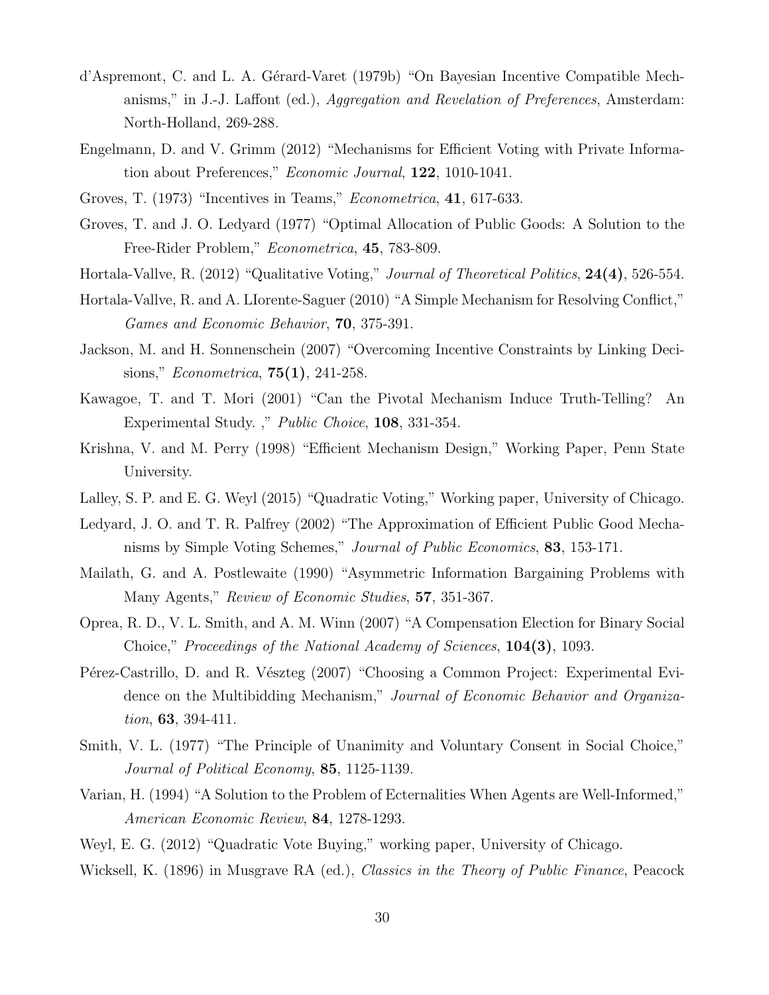- d'Aspremont, C. and L. A. Gérard-Varet (1979b) "On Bayesian Incentive Compatible Mechanisms," in J.-J. Laffont (ed.), Aggregation and Revelation of Preferences, Amsterdam: North-Holland, 269-288.
- Engelmann, D. and V. Grimm (2012) "Mechanisms for Efficient Voting with Private Information about Preferences," Economic Journal, 122, 1010-1041.
- Groves, T. (1973) "Incentives in Teams," Econometrica, 41, 617-633.
- Groves, T. and J. O. Ledyard (1977) "Optimal Allocation of Public Goods: A Solution to the Free-Rider Problem," Econometrica, 45, 783-809.
- Hortala-Vallve, R. (2012) "Qualitative Voting," *Journal of Theoretical Politics*, 24(4), 526-554.
- Hortala-Vallve, R. and A. LIorente-Saguer (2010) "A Simple Mechanism for Resolving Conflict," Games and Economic Behavior, 70, 375-391.
- Jackson, M. and H. Sonnenschein (2007) "Overcoming Incentive Constraints by Linking Decisions," Econometrica, 75(1), 241-258.
- Kawagoe, T. and T. Mori (2001) "Can the Pivotal Mechanism Induce Truth-Telling? An Experimental Study. ," Public Choice, 108, 331-354.
- Krishna, V. and M. Perry (1998) "Efficient Mechanism Design," Working Paper, Penn State University.
- Lalley, S. P. and E. G. Weyl (2015) "Quadratic Voting," Working paper, University of Chicago.
- Ledyard, J. O. and T. R. Palfrey (2002) "The Approximation of Efficient Public Good Mechanisms by Simple Voting Schemes," Journal of Public Economics, 83, 153-171.
- Mailath, G. and A. Postlewaite (1990) "Asymmetric Information Bargaining Problems with Many Agents," Review of Economic Studies, 57, 351-367.
- Oprea, R. D., V. L. Smith, and A. M. Winn (2007) "A Compensation Election for Binary Social Choice," Proceedings of the National Academy of Sciences, 104(3), 1093.
- Pérez-Castrillo, D. and R. Vészteg (2007) "Choosing a Common Project: Experimental Evidence on the Multibidding Mechanism," Journal of Economic Behavior and Organization, 63, 394-411.
- Smith, V. L. (1977) "The Principle of Unanimity and Voluntary Consent in Social Choice," Journal of Political Economy, 85, 1125-1139.
- Varian, H. (1994) "A Solution to the Problem of Ecternalities When Agents are Well-Informed," American Economic Review, 84, 1278-1293.
- Weyl, E. G. (2012) "Quadratic Vote Buying," working paper, University of Chicago.
- Wicksell, K. (1896) in Musgrave RA (ed.), Classics in the Theory of Public Finance, Peacock